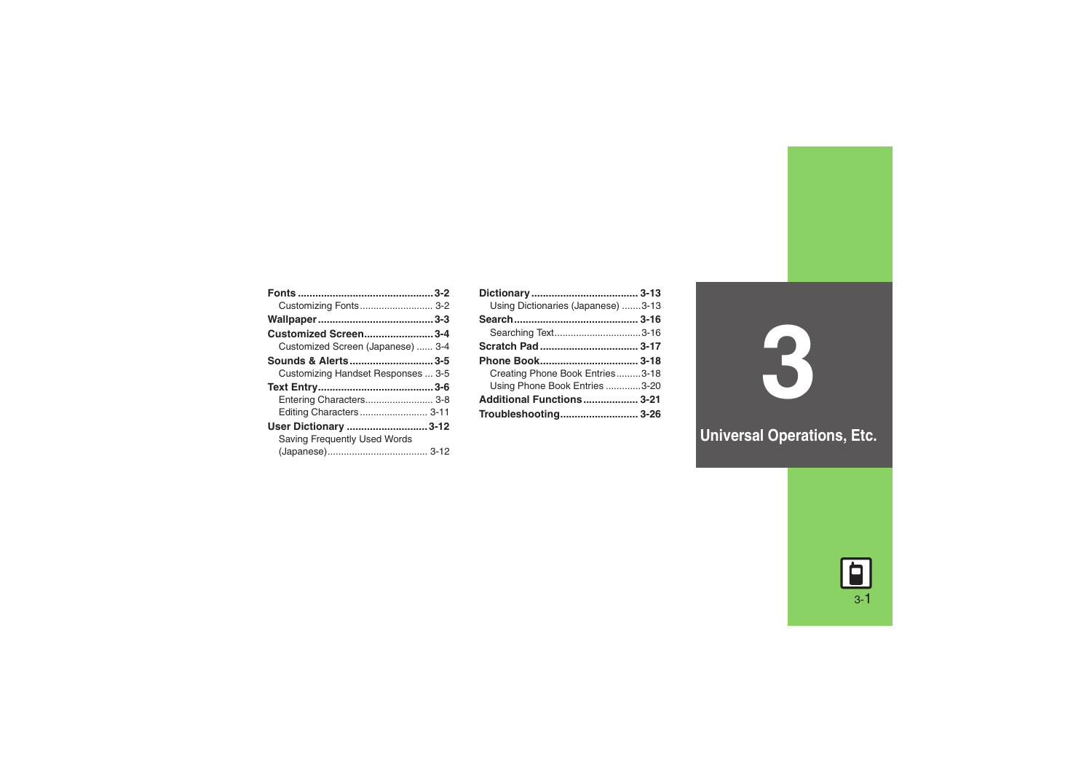| Customizing Fonts 3-2              |  |
|------------------------------------|--|
|                                    |  |
| <b>Customized Screen3-4</b>        |  |
| Customized Screen (Japanese)  3-4  |  |
| Sounds & Alerts3-5                 |  |
| Customizing Handset Responses  3-5 |  |
|                                    |  |
| Entering Characters 3-8            |  |
| Editing Characters 3-11            |  |
| User Dictionary 3-12               |  |
| Saving Frequently Used Words       |  |
|                                    |  |

| Using Dictionaries (Japanese) 3-13 |  |
|------------------------------------|--|
|                                    |  |
| Searching Text3-16                 |  |
|                                    |  |
|                                    |  |
|                                    |  |
| Creating Phone Book Entries3-18    |  |
| Using Phone Book Entries 3-20      |  |
| Additional Functions 3-21          |  |

**3**

**Universal Operations, Etc.**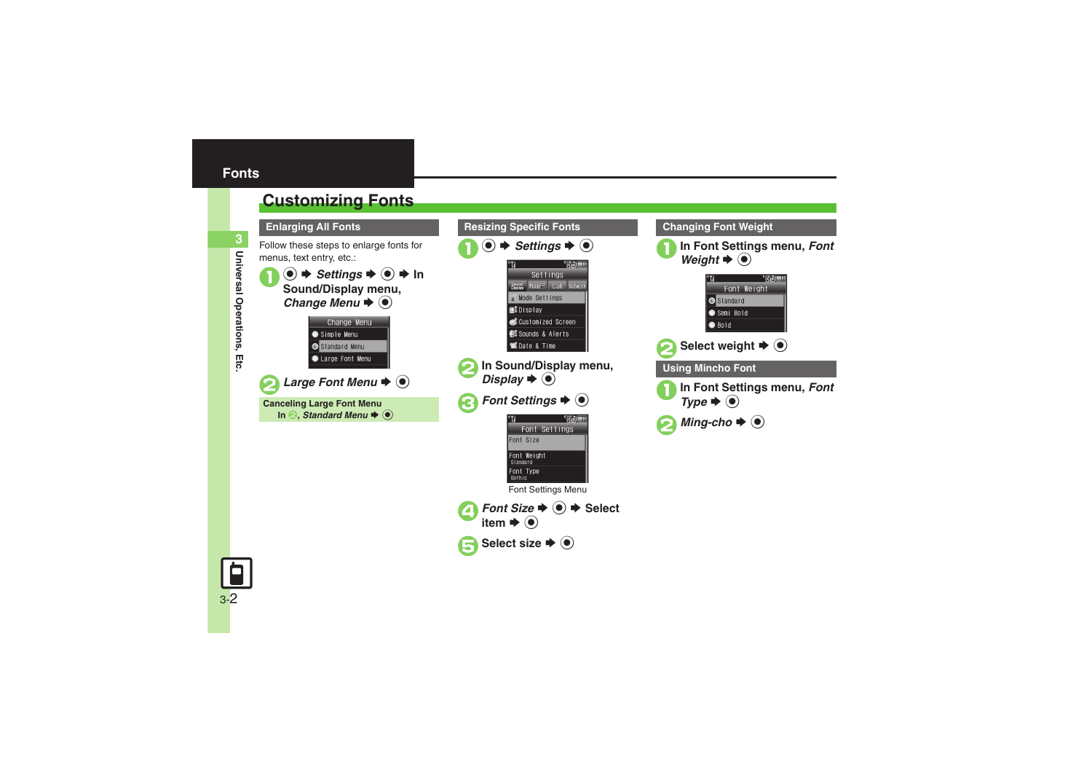# <span id="page-1-1"></span><span id="page-1-0"></span>**Customizing Fonts**

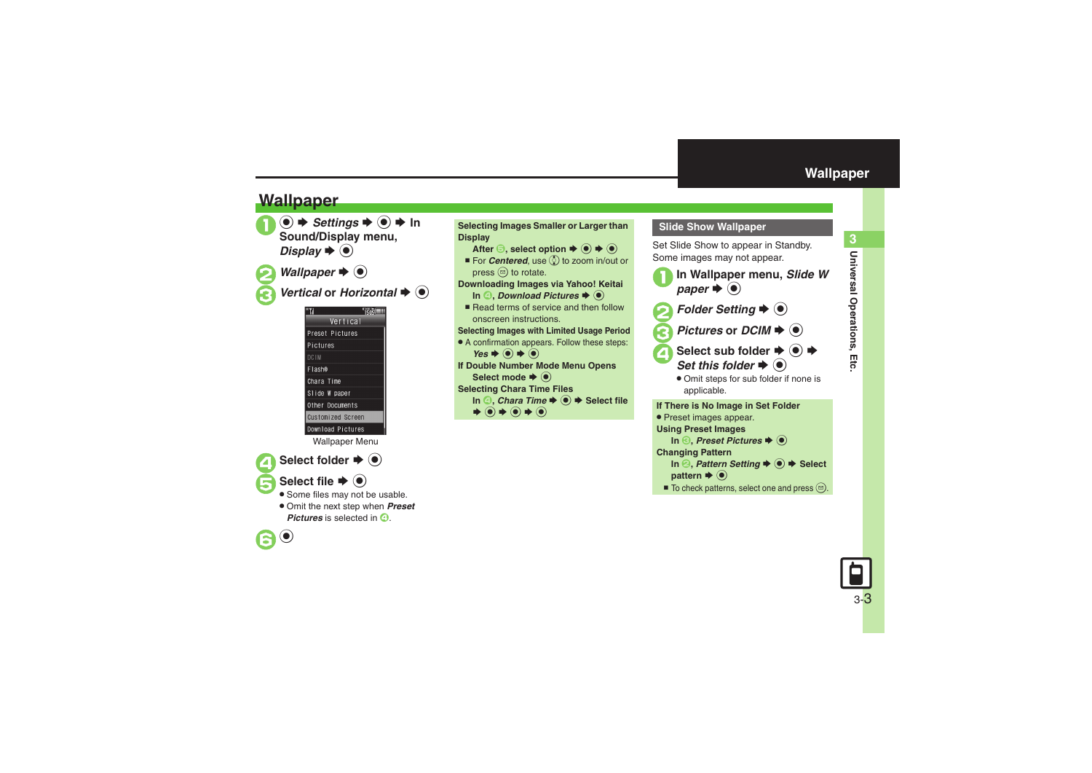# **Wallpaper**







Wallpaper Menu

## Select folder  $\blacktriangleright$   $\textcircled{\scriptsize{\bullet}}$

- - **Select file**  $\blacktriangleright$  **(** $\blacklozenge$ **)**
	- Some files may not be usable.
	- . Omit the next step when *Preset*  **Pictures** is selected in  $\Omega$





### <span id="page-2-0"></span>**Slide Show Wallpaper**

Set Slide Show to appear in Standby. Some images may not appear.



*Pictures* or *DCIM*  $\rightarrow$   $\odot$ 

- Select sub folder  $\div$  **(** $\bullet$ **)**  $\div$  $r \blacktriangleright @$ 
	- . Omit steps for sub folder if none is applicable.

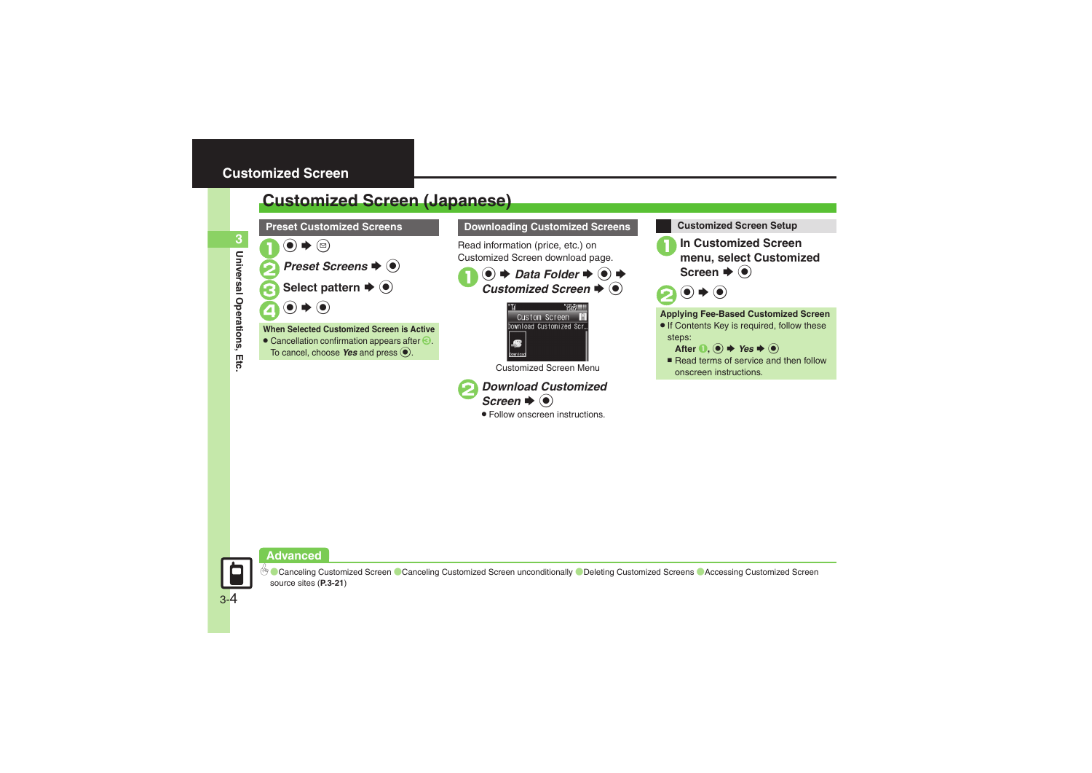# <span id="page-3-1"></span><span id="page-3-0"></span>**Customized Screen (Japanese)**



### **Downloading Customized Screens Customized Screen Setup**

Read information (price, etc.) on Customized Screen download page.

1 **●** *Data Folder*  $\rightarrow$  **●** *Customized Screen*  $\rightarrow$  **●** 



Customized Screen Menu



. Follow onscreen instructions.



1**In Customized Screen menu, select Customized Screen**  $\blacklozenge$ 



### **Applying Fee-Based Customized Screen**

- If Contents Key is required, follow these steps:
	- After  $\textbf{0}$ ,  $\textbf{0} \rightarrow \text{Yes} \rightarrow \textbf{0}$
- $\blacksquare$  Read terms of service and then follow onscreen instructions.



**Universal Operations, Etc.**

Ętc

Universal Operations,

**3**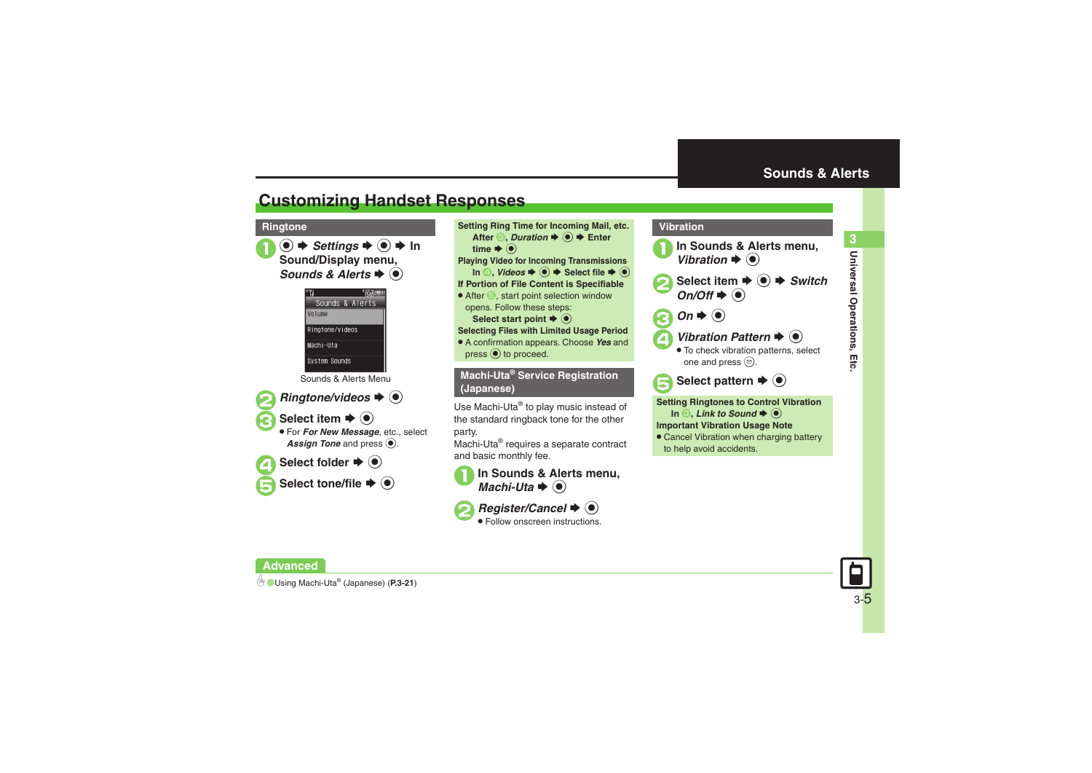**Universal Operations, Etc.**

Universal Operations, Etc

**3**

# <span id="page-4-1"></span>**Customizing Handset Responses**

**●**  $\rightarrow$ *Settings* $\rightarrow$  **●**  $\rightarrow$  **In Sound/Display menu,** *Sounds & Alerts*  $\blacklozenge$ 



Sounds & Alerts Menu



*Ringtone/videos*  $\blacktriangleright$   $\odot$ 

### **Select item**  $\rightarrow$  $\odot$

 For *For New Message*, etc., select Assign Tone and press  $\textcircled{\textcirc}$ .



Select folder  $\blacktriangleright$   $\textcircled{\scriptsize\bullet}$ 

Select tone/file  $\blacktriangleright$   $\textcircled{\scriptsize{\bullet}}$ 

**Ringtone Setting Ring Time for Incoming Mail, etc.** After  $\textcircled{\textbf{3}}$ , *Duration*  $\textup{\textbf{4}}$  ( $\textcircled{\textbf{6}}$ )  $\textup{\textbf{4}}$  Enter time  $\blacktriangleright$   $\textcircled{\scriptsize{\textcircled{\small{}}}}$ **Playing Video for Incoming Transmissions**  $\text{In} \textcircled{4}$ , *Videos*  $\Rightarrow$   $\textcircled{4}$   $\Rightarrow$  Select file  $\Rightarrow$   $\textcircled{6}$ **If Portion of File Content is Specifiable**  $\bullet$  After  $\bigcirc$ , start point selection window opens. Follow these steps: **Select start point**  $\blacklozenge$  $\textcircleddiamond}$ **Selecting Files with Limited Usage Period** . A confirmation appears. Choose *Yes* and  $pres \odot$  to proceed. **Machi-Uta® Service Registration** 

**(Japanese)**

Use Machi-Uta® to play music instead of the standard ringback tone for the other party.

Machi-Uta® requires a separate contract and basic monthly fee.





*Register/Cancel*  $\blacklozenge$   $\blacklozenge$ Follow onscreen instructions.

<span id="page-4-0"></span>

**Important Vibration Usage Note**

**• Cancel Vibration when charging battery** to help avoid accidents.

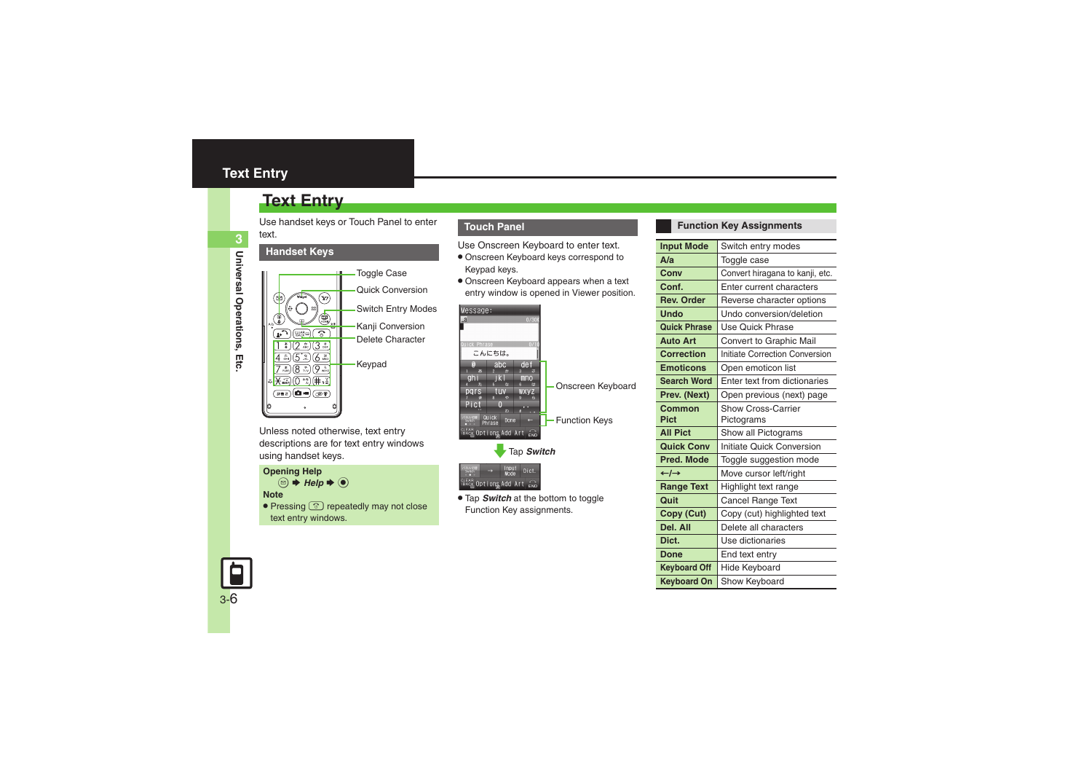# <span id="page-5-0"></span>**Text Entry**

Use handset keys or Touch Panel to enter text.

### **Handset Keys**



Unless noted otherwise, text entry descriptions are for text entry windows using handset keys.

**Opening Help**  $\textcircled{\scriptsize{\textcircled{\#}}}$  Help  $\blacktriangleright$   $\textcircled{\scriptsize{\textcircled{\#}}}$ **Note**• Pressing  $\circledcirc$  repeatedly may not close text entry windows.

### **Touch Panel**

Use Onscreen Keyboard to enter text.

- . Onscreen Keyboard keys correspond to Keypad keys.
- . Onscreen Keyboard appears when a text entry window is opened in Viewer position.

| Message:                                                                                                                                |                                                             |                      |
|-----------------------------------------------------------------------------------------------------------------------------------------|-------------------------------------------------------------|----------------------|
| a                                                                                                                                       | 0/30k                                                       |                      |
| Quick Phrase<br>こんにちは。                                                                                                                  | 0/                                                          |                      |
| abc<br>E.<br>$\overline{\mathbf{2}}$<br>m<br>ghi<br>起<br>$\boldsymbol{t}$<br>pars<br>tııv<br>戻<br>$\overline{a}$<br>也<br>Pict<br>0<br>Ð | de f<br>a<br>ß<br>mno<br><b>Ia</b><br><b>WXVZ</b><br>À<br>œ | Onscreen Keyboard    |
| Quick<br>ネル切断<br>Done<br>Phrase                                                                                                         |                                                             | <b>Function Keys</b> |
| <b>CLEAR</b> Options Add Art                                                                                                            | $\widehat{\epsilon}$ ND                                     |                      |
| Tap Switch                                                                                                                              |                                                             |                      |



. Tap *Switch* at the bottom to toggle Function Key assignments.

### **Function Key Assignments**

| Switch entry modes               |
|----------------------------------|
| Toggle case                      |
| Convert hiragana to kanji, etc.  |
| Enter current characters         |
| Reverse character options        |
| Undo conversion/deletion         |
| Use Quick Phrase                 |
| Convert to Graphic Mail          |
| Initiate Correction Conversion   |
| Open emoticon list               |
| Enter text from dictionaries     |
| Open previous (next) page        |
| <b>Show Cross-Carrier</b>        |
| Pictograms                       |
| Show all Pictograms              |
| <b>Initiate Quick Conversion</b> |
| Toggle suggestion mode           |
| Move cursor left/right           |
| Highlight text range             |
| Cancel Range Text                |
| Copy (cut) highlighted text      |
| Delete all characters            |
| Use dictionaries                 |
| End text entry                   |
| Hide Keyboard                    |
| Show Keyboard                    |
|                                  |

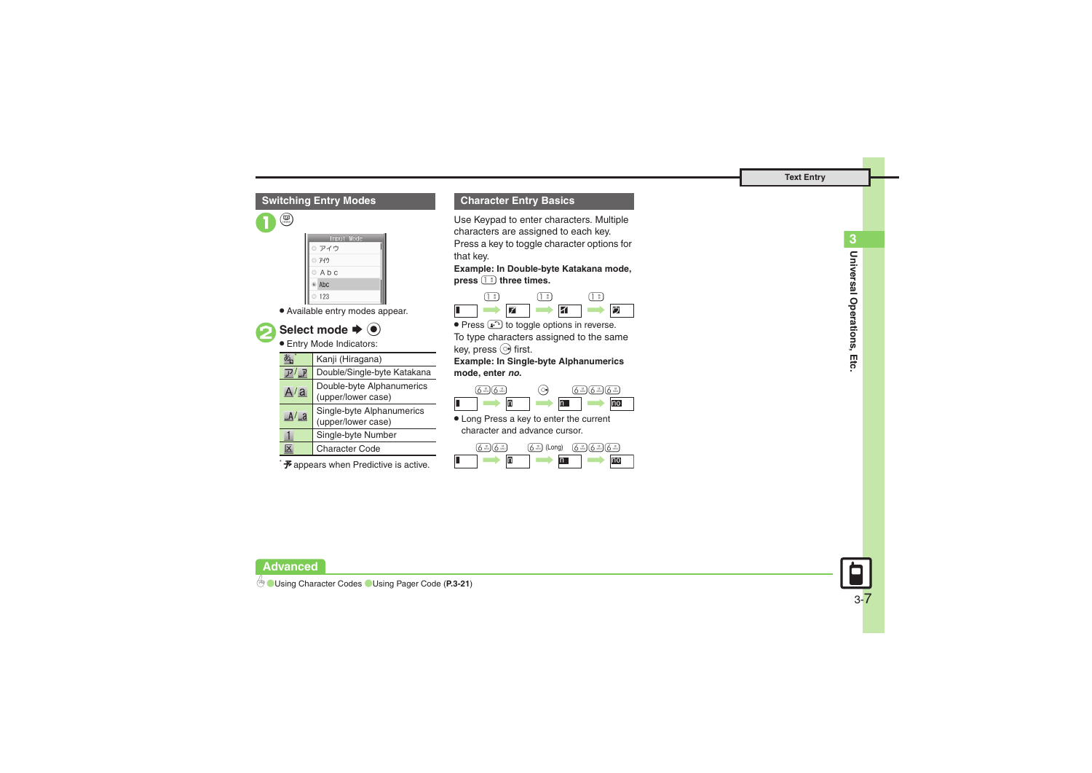### **Switching Entry Modes**





. Available entry modes appear.



Select mode  $\blacktriangleright$  ( $\blacklozenge$ )

Entry Mode Indicators:

|              | Kanji (Hiragana)                                |  |
|--------------|-------------------------------------------------|--|
|              | Double/Single-byte Katakana                     |  |
| A/a          | Double-byte Alphanumerics<br>(upper/lower case) |  |
| $A/\sqrt{a}$ | Single-byte Alphanumerics<br>(upper/lower case) |  |
|              | Single-byte Number                              |  |
| x            | <b>Character Code</b>                           |  |

 $\mathcal F$  appears when Predictive is active.

### **Character Entry Basics**

Use Keypad to enter characters. Multiple characters are assigned to each key. Press a key to toggle character options for that key.

**Example: In Double-byte Katakana mode, press** 1 **three times.**



 $\bullet$  Press  $\circled{r}$  to toggle options in reverse. To type characters assigned to the same key, press  $\circledcirc$  first.

**Example: In Single-byte Alphanumerics mode, enter** *no***.**

|  | $\alpha$ |  |
|--|----------|--|
|  |          |  |

. Long Press a key to enter the current character and advance cursor.





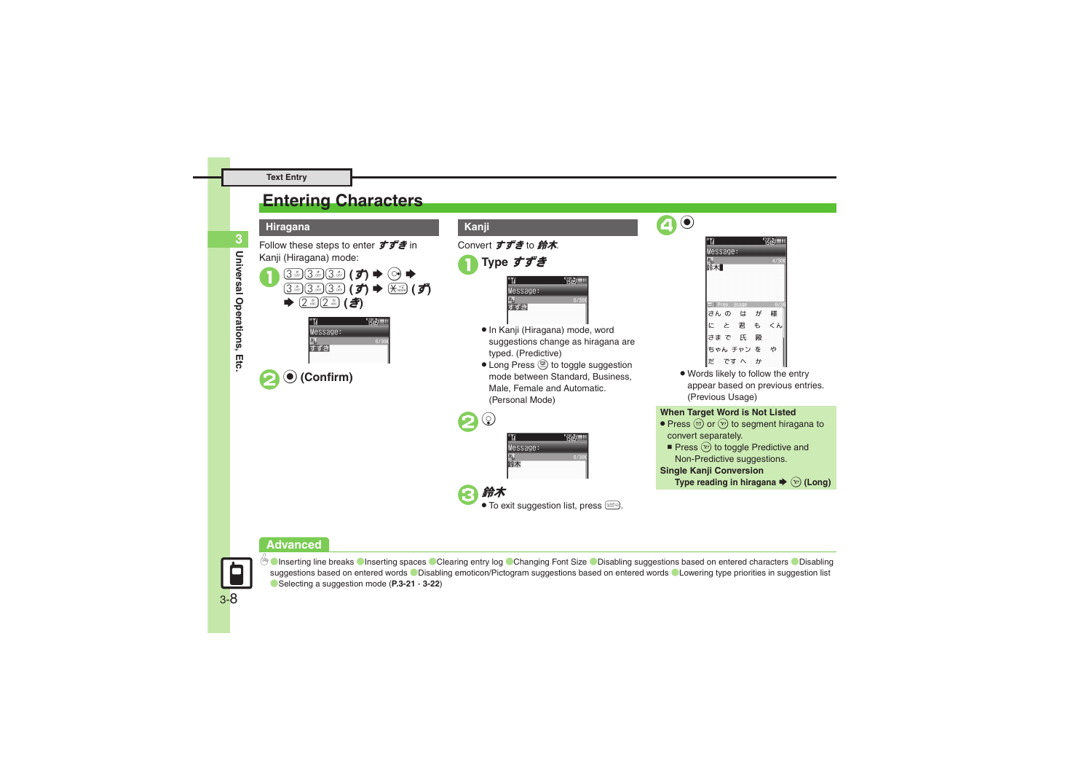# <span id="page-7-0"></span>**Entering Characters**



- Convert すずき to 鈴木.
	- 1**Type** すずき

| $e$ ssage: |   |
|------------|---|
|            | n |
|            |   |
|            |   |

- . In Kanji (Hiragana) mode, word suggestions change as hiragana are typed. (Predictive)
- Long Press . to toggle suggestion mode between Standard, Business, Male, Female and Automatic. (Personal Mode)





 $\bullet$ 

. Words likely to follow the entry appear based on previous entries. (Previous Usage)

### **When Target Word is Not Listed**

- Press  $\circledcirc$  or  $\circledcirc$  to segment hiragana to convert separately.
	- Press  $\circledcirc$  to toggle Predictive and Non-Predictive suggestions.

### **Single Kanji Conversion**

**Type reading in hiragana**  $\blacktriangleright$   $\widehat{X}$  (Long)

### **Advanced**



C[Inserting line breaks](#page-20-8) C[Inserting spaces](#page-20-9) C[Clearing entry log](#page-20-10) C[Changing Font Size](#page-20-11) C[Disabling suggestions based on entered characters](#page-21-0) CDisabling [suggestions based on entered words](#page-21-1)  $\bullet$  [Disabling emoticon/Pictogram suggestions based on entered words](#page-21-2)  $\bullet$  [Lowering type priorities in suggestion list](#page-21-3) ([Selecting a suggestion mode](#page-21-4) (**[P.3-21](#page-20-8)** - **[3-22](#page-21-4)**)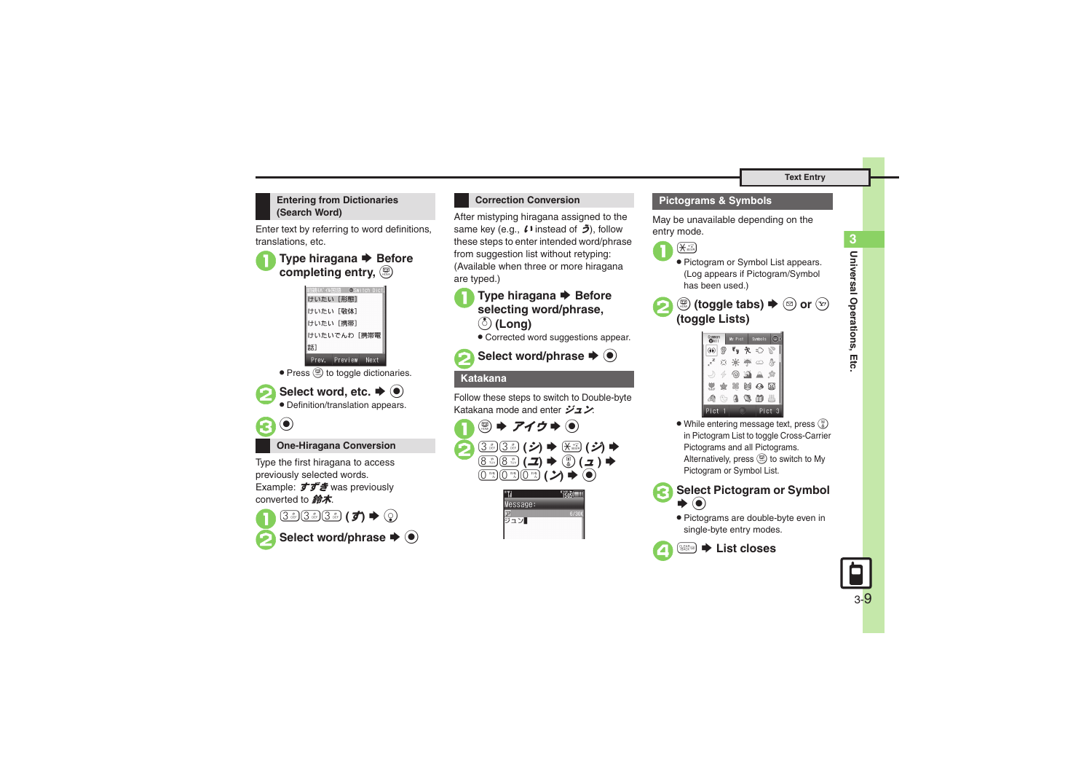### **Entering from Dictionaries (Search Word)**

Enter text by referring to word definitions, translations, etc.

# ■ Type hiragana **→** Before **completing entry,**  &



• Press (b) to toggle dictionaries.

**2** Select word, etc.  $\Rightarrow$  <sup>**0**</sup> . Definition/translation appears.



**One-Hiragana Conversion**

Type the first hiragana to access previously selected words. Example:  $\vec{J} \vec{J}$  was previously converted to 鈴木.



## **Correction Conversion**

After mistyping hiragana assigned to the same key (e.g., *い* instead of う), follow these steps to enter intended word/phrase from suggestion list without retyping: (Available when three or more hiragana are typed.)

■ Type hiragana **→** Before **selecting word/phrase,**  a **(Long)**

. Corrected word suggestions appear.



**2**Select word/phrase ♦ ●

### **Katakana**

Follow these steps to switch to Double-byte Katakana mode and enter ジュン:



| Message: |   |
|----------|---|
|          | F |
| ン        |   |
|          |   |

### **Pictograms & Symbols**

May be unavailable depending on the entry mode.



- . Pictogram or Symbol List appears. (Log appears if Pictogram/Symbol has been used.)
- 2 **<u> ම (toggle tabs) → ම or**  $\circledcirc$ **</u> (toggle Lists)**



- . While entering message text, press ( in Pictogram List to toggle Cross-Carrier Pictograms and all Pictograms. Alternatively, press (S) to switch to My Pictogram or Symbol List.
- 3**Select Pictogram or Symbol**   $\blacktriangleright$   $\textcircled{\scriptsize{}}$ 
	- . Pictograms are double-byte even in single-byte entry modes.



 $\rightarrow$  **List closes** 

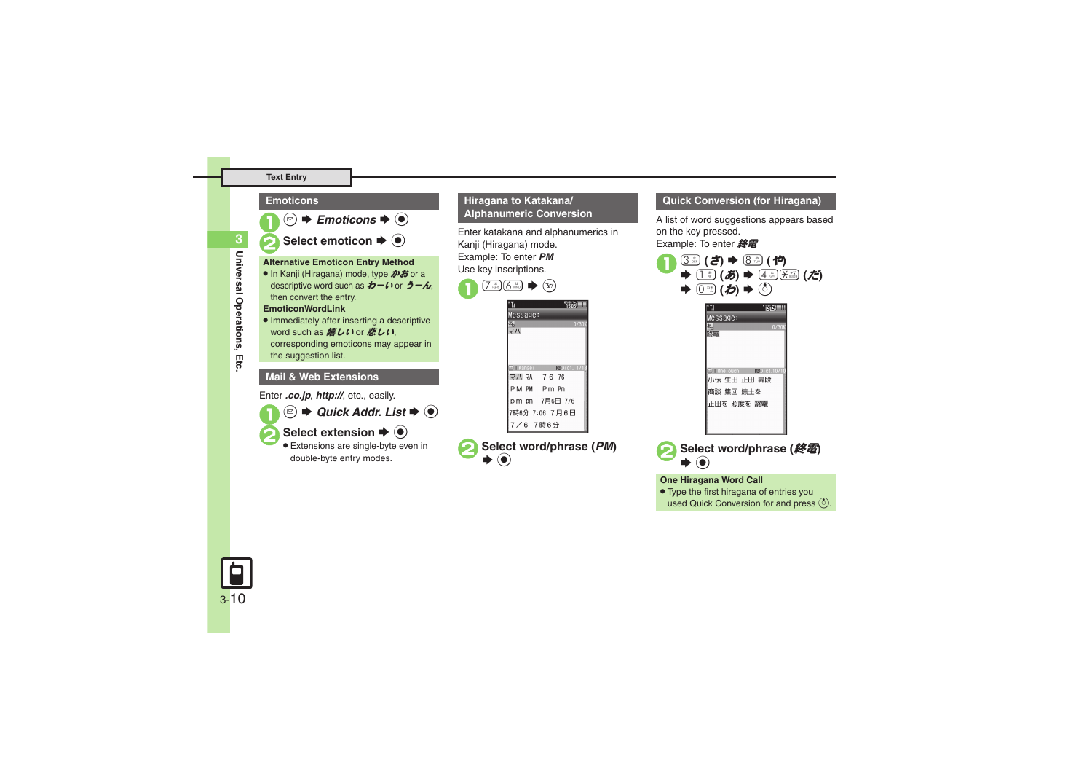### **Text Entry**



## **Hiragana to Katakana/ Alphanumeric Conversion**

Enter katakana and alphanumerics in Kanji (Hiragana) mode. Example: To enter *PM* Use key inscriptions.



# **Select word/phrase (PM)**

### **Quick Conversion (for Hiragana)**

A list of word suggestions appears based on the key pressed.

Example: To enter 終電





正田を 照度を 終電

### **One Hiragana Word Call**

. Type the first hiragana of entries you used Quick Conversion for and press  $\binom{5}{2}$ .

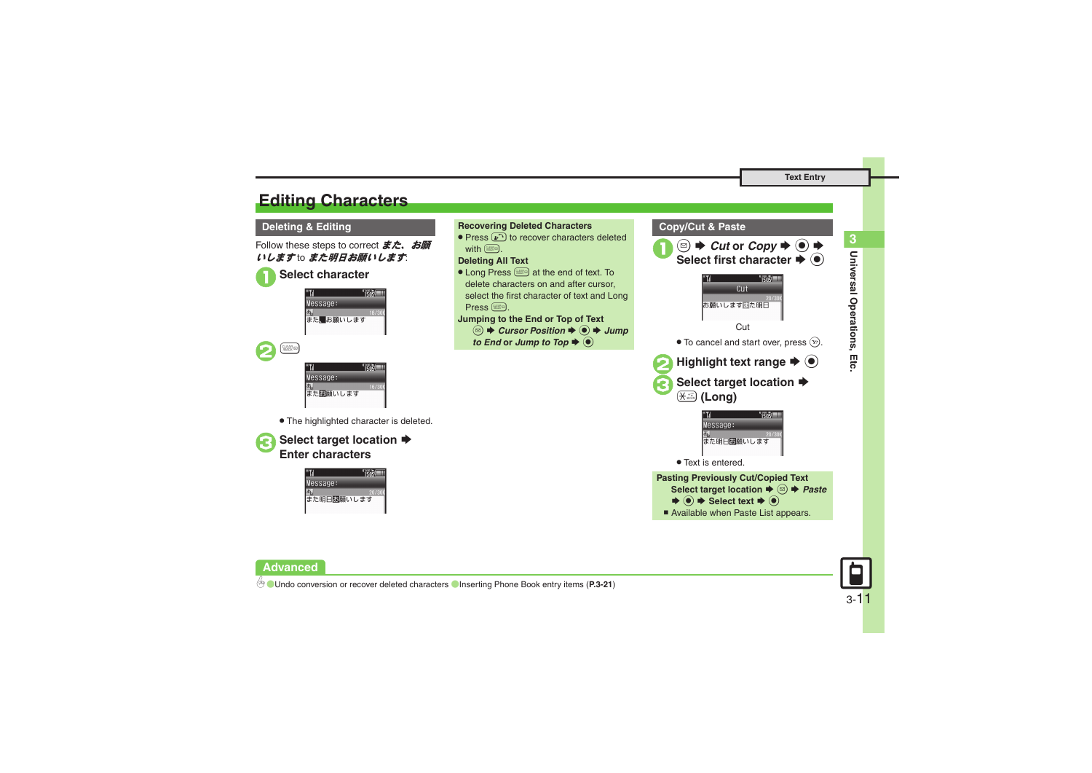# <span id="page-10-0"></span>**Editing Characters**

 $\boldsymbol{\Theta}$  $\frac{\text{GEAR}}{\text{BACK}}$ 

Follow these steps to correct **また、お願** いします to また明日お願いします.

### 1**Select character**



**TEAS!** Message: また関願いします

. The highlighted character is deleted.





### **Deleting & Editing Recovering Deleted Characters Copy/Cut & Paste** • Press  $\binom{n}{k}$  to recover characters deleted  $\mathbf 0$  $\textcircled{a}$   $\blacktriangleright$  *Cut* or *Copy*  $\blacktriangleright$   $\textcircled{a}$   $\blacktriangleright$ with  $@$ **Deleting All Text Select first character**  $\blacktriangleright$  $\textcircled{\tiny{\bullet}}$ • Long Press **staked** at the end of text. To  $^{01/01}$   $\frac{1}{2}$   $\frac{1}{2}$   $\frac{1}{2}$   $\frac{1}{2}$ delete characters on and after cursor,  $C<sub>II</sub>$ select the first character of text and Long お願いしますまた明日 Press **Jumping to the End or Top of Text Cut <sup><b>③**  $\blacktriangleright$  *Cursor Position*  $\blacktriangleright$  **●** *Jump*</sup> *to End* or *Jump* to *Top* ♦  $\odot$  $\bullet$  To cancel and start over, press  $\Im$ . **2**Highlight text range  $\rightarrow$  <sup>6</sup> Select target location  $\rightarrow$ ( **(Long) TEGS!** Message: また明日団願いします . Text is entered. **Pasting Previously Cut/Copied Text Select target location**  $\blacklozenge$  **<sup>©</sup> → Paste**  $\blacktriangleright$   $\textcircled{\scriptsize{*}}$  Select text  $\blacktriangleright$   $\textcircled{\scriptsize{*}}$ ■ Available when Paste List appears.



**Advanced**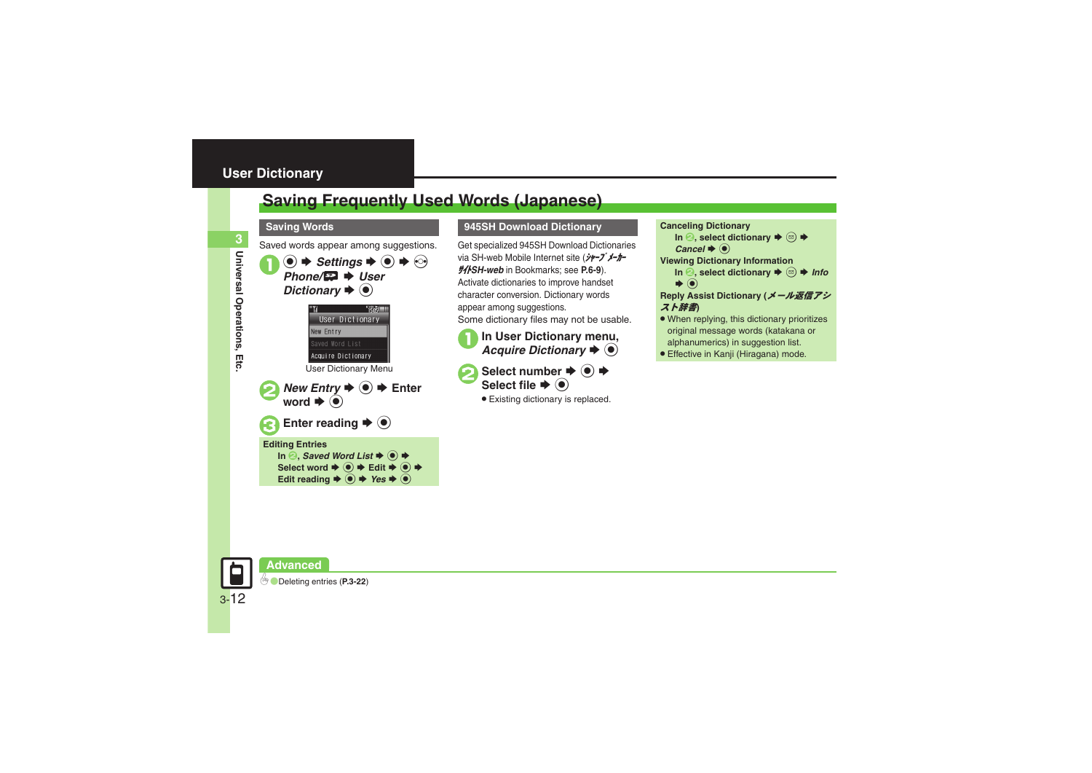# <span id="page-11-0"></span>**User Dictionary**

# <span id="page-11-1"></span>**Saving Frequently Used Words (Japanese)**

### **Saving Words**

Saved words appear among suggestions.



### **945SH Download Dictionary Canceling Dictionary**

Get specialized 945SH Download Dictionaries via SH-web Mobile Internet site (ジャープ メーカー サイト*SH-web* in Bookmarks; see **P.6-9**). Activate dictionaries to improve handset character conversion. Dictionary words appear among suggestions. Some dictionary files may not be usable.

**In User Dictionary menu,**<br>*Acquire Dictionary* ♦ ●

**Select number**  $\rightarrow$  **<del>●</del>** Select file  $\blacktriangleright$  ( $\blacklozenge$ )

. Existing dictionary is replaced.

In  $\Theta$ , select dictionary  $\blacktriangleright$   $\textcircled{\scriptsize{s}}$   $\blacktriangleright$  $\mathcal C$ ancel  $\blacktriangleright$   $\textcircled{\scriptsize{\bullet}}$ **Viewing Dictionary Information** In **2**, select dictionary  $\Rightarrow$   $\textcircled{a}$   $\Rightarrow$  *Info*  $\blacktriangleright$   $\textcircled{\scriptsize{}}$ **Reply Assist Dictionary (**メール返信アシ スト辞書**)**

- . When replying, this dictionary prioritizes original message words (katakana or alphanumerics) in suggestion list.
- . Effective in Kanji (Hiragana) mode.

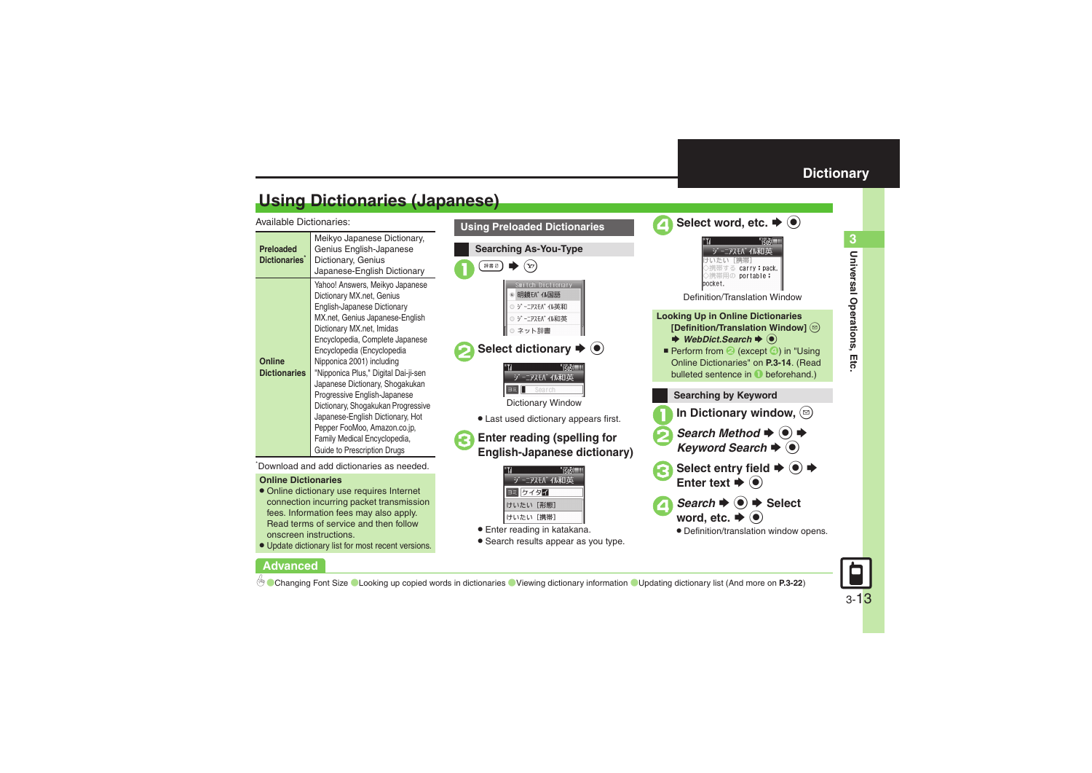**Universal Operations, Etc.**

Universal Operations, Etc

**3**

# <span id="page-12-1"></span>**Using Dictionaries (Japanese)**

Available Dictionaries:

| Preloaded<br>Dictionaries     | Meikyo Japanese Dictionary,<br>Genius English-Japanese<br>Dictionary, Genius<br>Japanese-English Dictionary                                                                                                                                                                                                                                                                                                                                                                                                                                   |  |
|-------------------------------|-----------------------------------------------------------------------------------------------------------------------------------------------------------------------------------------------------------------------------------------------------------------------------------------------------------------------------------------------------------------------------------------------------------------------------------------------------------------------------------------------------------------------------------------------|--|
| Online<br><b>Dictionaries</b> | Yahoo! Answers, Meikyo Japanese<br>Dictionary MX.net, Genius<br>English-Japanese Dictionary<br>MX.net, Genius Japanese-English<br>Dictionary MX.net, Imidas<br>Encyclopedia, Complete Japanese<br>Encyclopedia (Encyclopedia<br>Nipponica 2001) including<br>"Nipponica Plus," Digital Dai-ji-sen<br>Japanese Dictionary, Shogakukan<br>Progressive English-Japanese<br>Dictionary, Shogakukan Progressive<br>Japanese-English Dictionary, Hot<br>Pepper FooMoo, Amazon.co.jp,<br>Family Medical Encyclopedia,<br>Guide to Prescription Drugs |  |

\*Download and add dictionaries as needed.

### **Online Dictionaries**

**Advanced**

- . Online dictionary use requires Internet connection incurring packet transmission fees. Information fees may also apply. Read terms of service and then follow onscreen instructions.
- . Update dictionary list for most recent versions.

# **Using Preloaded Dictionaries Searching As-You-Type**  $#B()$   $\rightarrow$   $(Y')$ Switch Dictionary **明鏡fパイル国語** ) ジーニアスモバイル英和 ジーニアスモバイル和英 ネット辞書 Select dictionary  $\blacktriangleright$  ( $\blacklozenge$ ) ジーニアスモバイル和英 Dictionary Window . Last used dictionary appears first.

# <sup>3</sup>**Enter reading (spelling for English-Japanese dictionary)**

| ニアスモバイル和英  |
|------------|
| ケイタイ<br>ヨミ |
| けいたい [形態]  |
| けいたい [携帯]  |

- . Enter reading in katakana.
- . Search results appear as you type.

<span id="page-12-0"></span>



### 0([Changing Font Size](#page-21-6) ([Looking up copied words in dictionaries](#page-21-7) ([Viewing dictionary information](#page-21-8) ([Updating dictionary list](#page-21-9) (And more on **[P.3-22](#page-21-6)**)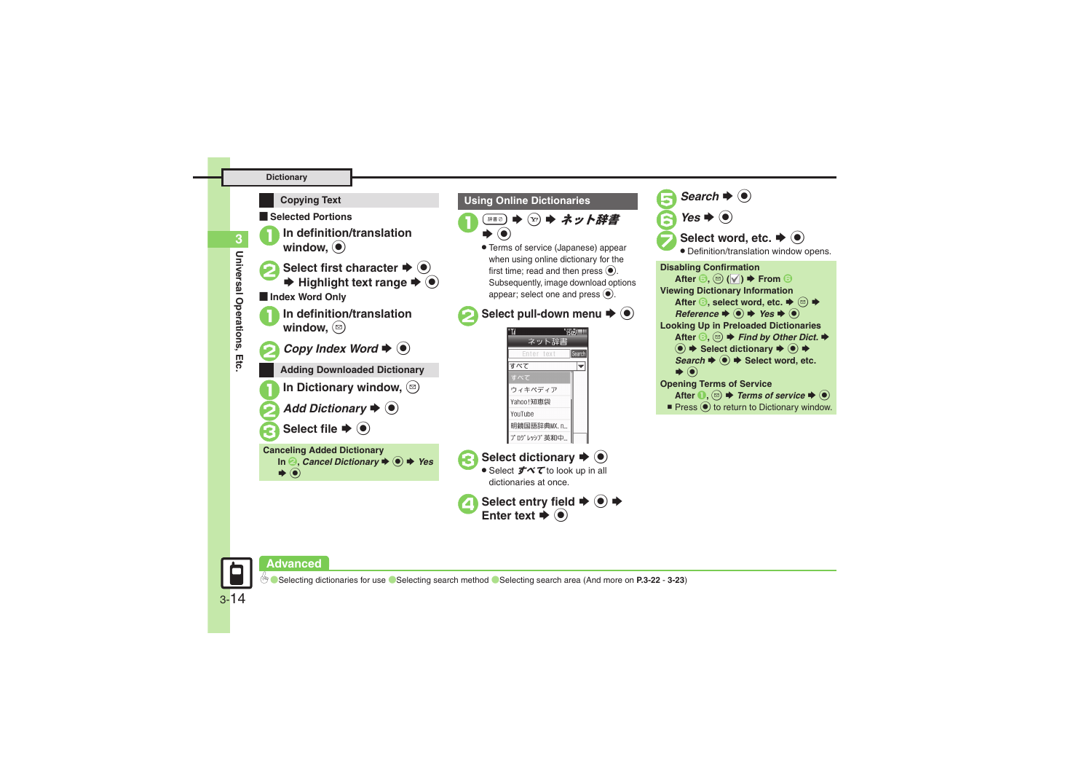### **Dictionary**



### <span id="page-13-0"></span>**Using Online Dictionaries**



 $\chi^{(x)}$   $\blacktriangleright$  ネット辞書

. Terms of service (Japanese) appear when using online dictionary for the first time; read and then press  $\textcircled{\textcirc}$ . Subsequently, image download options appear: select one and press  $\odot$ .

Select pull-down menu  $\blacktriangleright$  ( $\blacklozenge$ )

**TERE III** ネット辞書 **learch** すべて ≂ ウィキペディア Yahoo!知恵袋 YouTube 明鏡国語辞典MX. n.. プ ログレッシブ英和中...

Select dictionary  $\blacktriangleright$   $\odot$ ● Select **すべて** to look up in all dictionaries at once.

4**Select entry field** <sup>S</sup> % <sup>S</sup> **Enter text** <sup>S</sup>Enter text  $\blacktriangleright$  ( $\odot$ )





3-14

**3**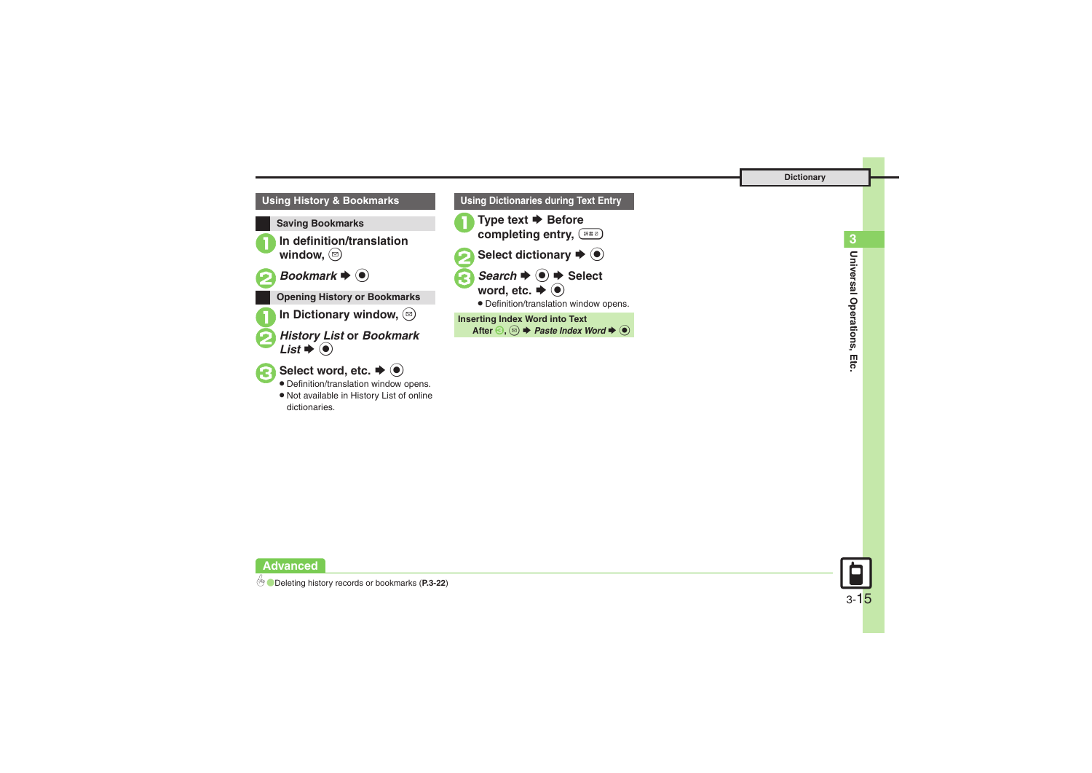

| <b>Using Dictionaries during Text Entry</b>                                                                                                                            |
|------------------------------------------------------------------------------------------------------------------------------------------------------------------------|
| Type text $\blacktriangleright$ Before<br>completing entry, (*** )                                                                                                     |
| Select dictionary $\blacktriangleright$ $\odot$                                                                                                                        |
| Search $\Rightarrow$ $\bullet$ $\Rightarrow$ Select<br>word, etc. $\blacktriangleright$ $\textcircled{\scriptsize{\bullet}}$<br>• Definition/translation window opens. |
| <b>Inserting Index Word into Text</b><br>After $\odot$ , $\odot$ $\blacktriangleright$ Paste Index Word $\blacktriangleright$ $\odot$                                  |
|                                                                                                                                                                        |

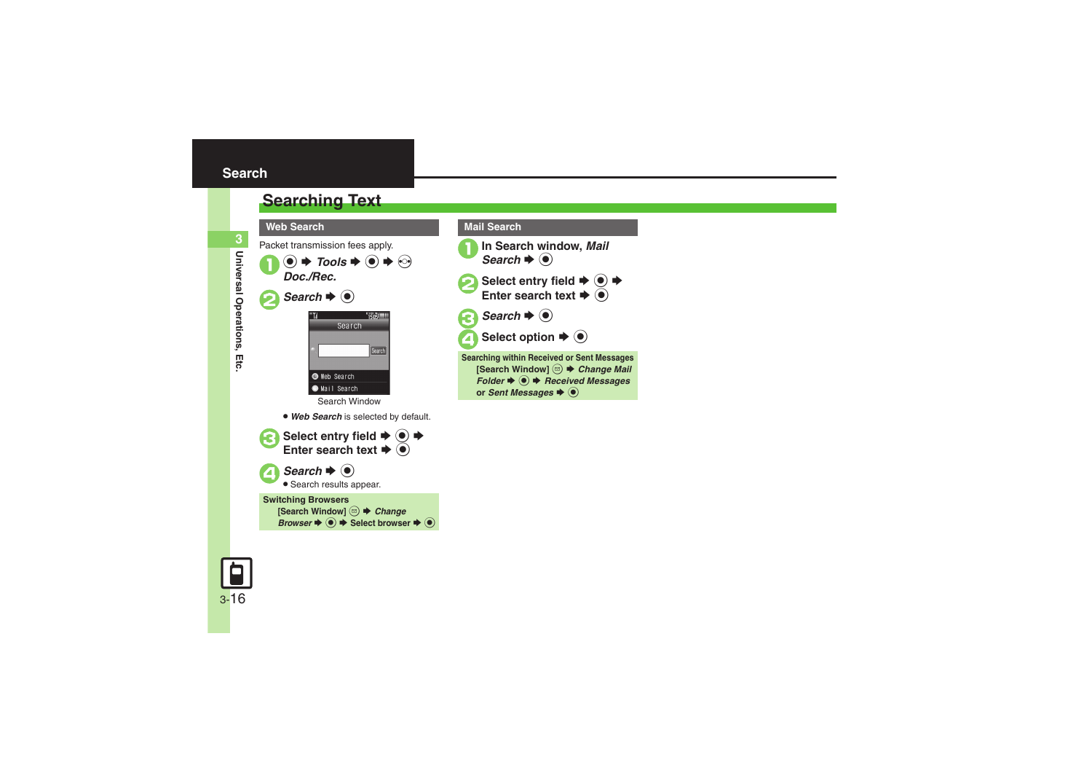<span id="page-15-1"></span><span id="page-15-0"></span>



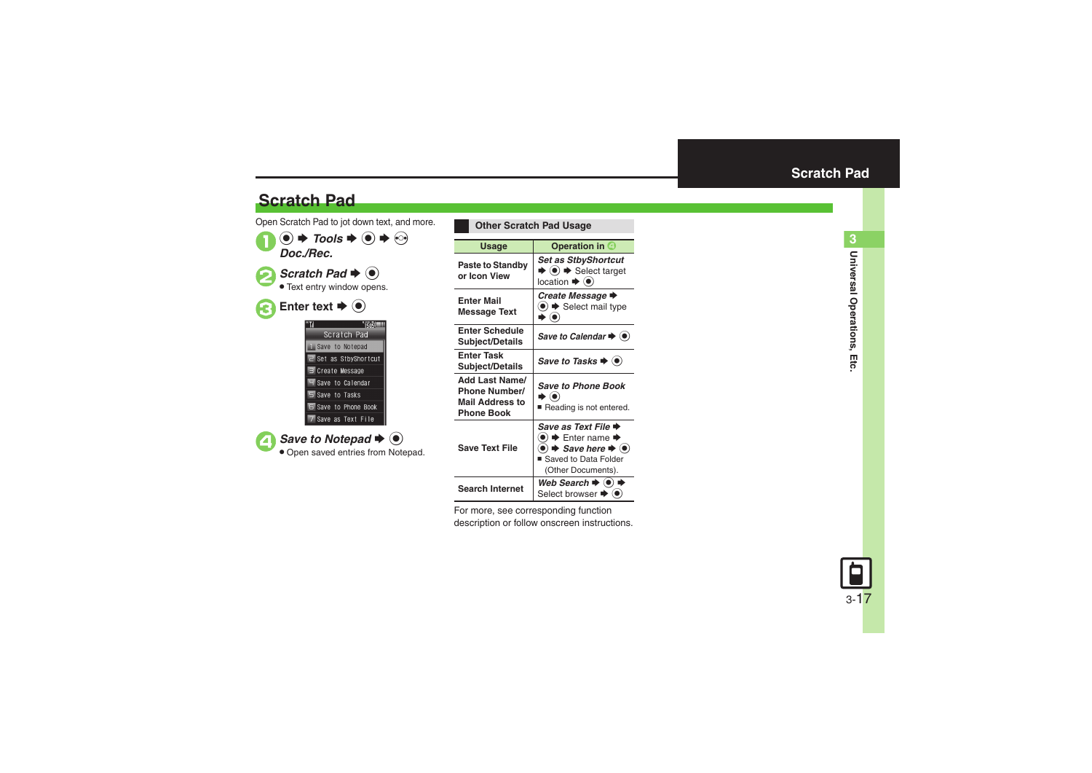# **Scratch Pad**

Open Scratch Pad to jot down text, and more.  $\mathbf 0$  $\circledcirc$   $\Rightarrow$  Tools  $\Rightarrow$   $\circledcirc$ *Doc./Rec.*

**2** Scratch Pad  $\rightarrow$  <sup>0</sup> **• Text entry window opens.** 

| Enter text $\blacktriangleright$ ( $\blacklozenge$ ) |
|------------------------------------------------------|
|                                                      |
| Scratch Pad                                          |
| Save to Notepad                                      |
| 2 Set as StbyShor                                    |
| $\overline{\mathbb{F}}$ Create Message               |
| Save to Calenda                                      |
|                                                      |

5 Save to Tasks **E** Save to Phone Book 7 Save as Text File

▲ Save to Notepad **→** ● . Open saved entries from Notepad.

tcut

<span id="page-16-0"></span>

| <b>Other Scratch Pad Usage</b>                                                               |                                                                                                                                                                                   |
|----------------------------------------------------------------------------------------------|-----------------------------------------------------------------------------------------------------------------------------------------------------------------------------------|
| Usage                                                                                        | Operation in O                                                                                                                                                                    |
| <b>Paste to Standby</b><br>or Icon View                                                      | Set as StbyShortcut<br>$\bullet$ $\bullet$ $\bullet$ Select target<br>location $\blacktriangleright$ ( $\bullet$ )                                                                |
| <b>Enter Mail</b><br><b>Message Text</b>                                                     | Create Message →<br>$\bullet$ $\bullet$ Select mail type                                                                                                                          |
| <b>Enter Schedule</b><br>Subject/Details                                                     | Save to Calendar → (●                                                                                                                                                             |
| <b>Enter Task</b><br><b>Subject/Details</b>                                                  | Save to Tasks $\blacktriangleright$ ( $\blacklozenge$ )                                                                                                                           |
| <b>Add Last Name/</b><br><b>Phone Number/</b><br><b>Mail Address to</b><br><b>Phone Book</b> | <b>Save to Phone Book</b><br>• (∎<br>Reading is not entered.                                                                                                                      |
| <b>Save Text File</b>                                                                        | Save as Text File →<br>$\blacktriangleright$ Enter name $\blacktriangleright$<br>$\bullet)$ $\bullet$ Save here $\bullet$ $\bullet$<br>Saved to Data Folder<br>(Other Documents). |
| <b>Search Internet</b>                                                                       | Web Search $\blacktriangleright$ ( $\blacklozenge$ )<br>Select browser $\blacktriangleright$                                                                                      |

For more, see corresponding function description or follow onscreen instructions.

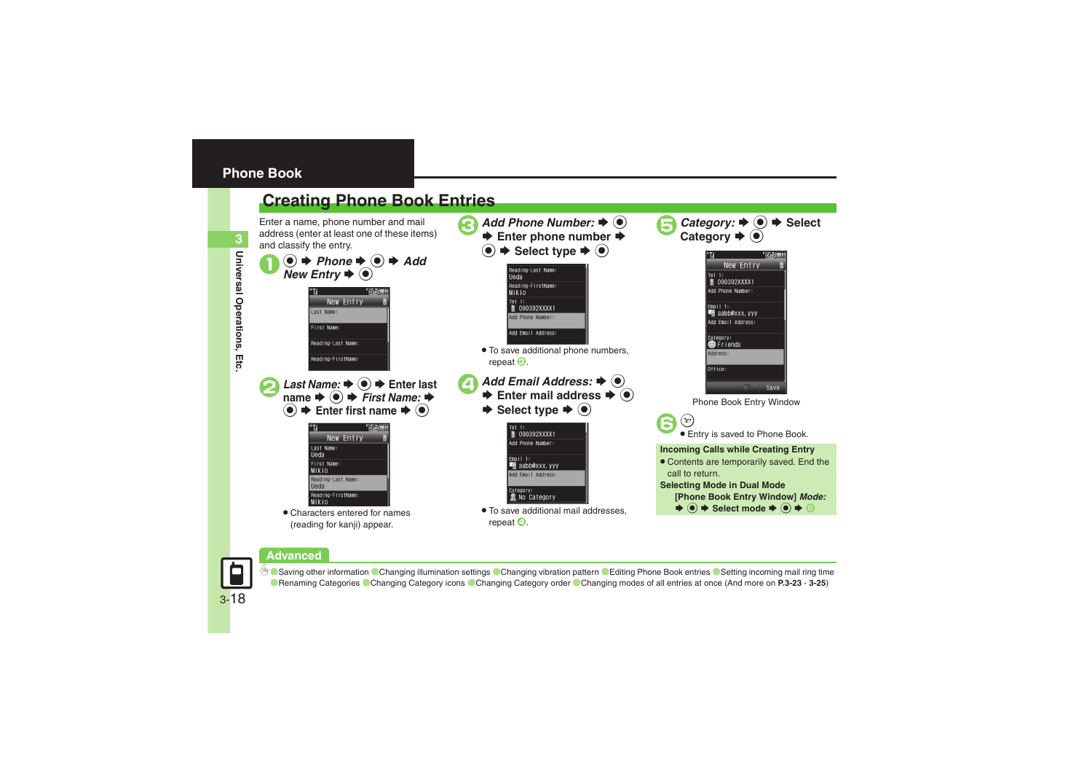<span id="page-17-1"></span><span id="page-17-0"></span>

### **Advanced**



**[Saving other information](#page-22-2) [Changing illumination settings](#page-23-0) [Changing vibration pattern](#page-23-1) ([Editing Phone Book entries](#page-23-2) ([Setting incoming mail ring time](#page-23-3)** ([Renaming Categories](#page-23-4) ([Changing Category icons](#page-23-5) ([Changing Category order](#page-23-6) ([Changing modes of all entries at once](#page-24-0) (And more on **[P.3-23](#page-22-2)** - **[3-25](#page-24-0)**)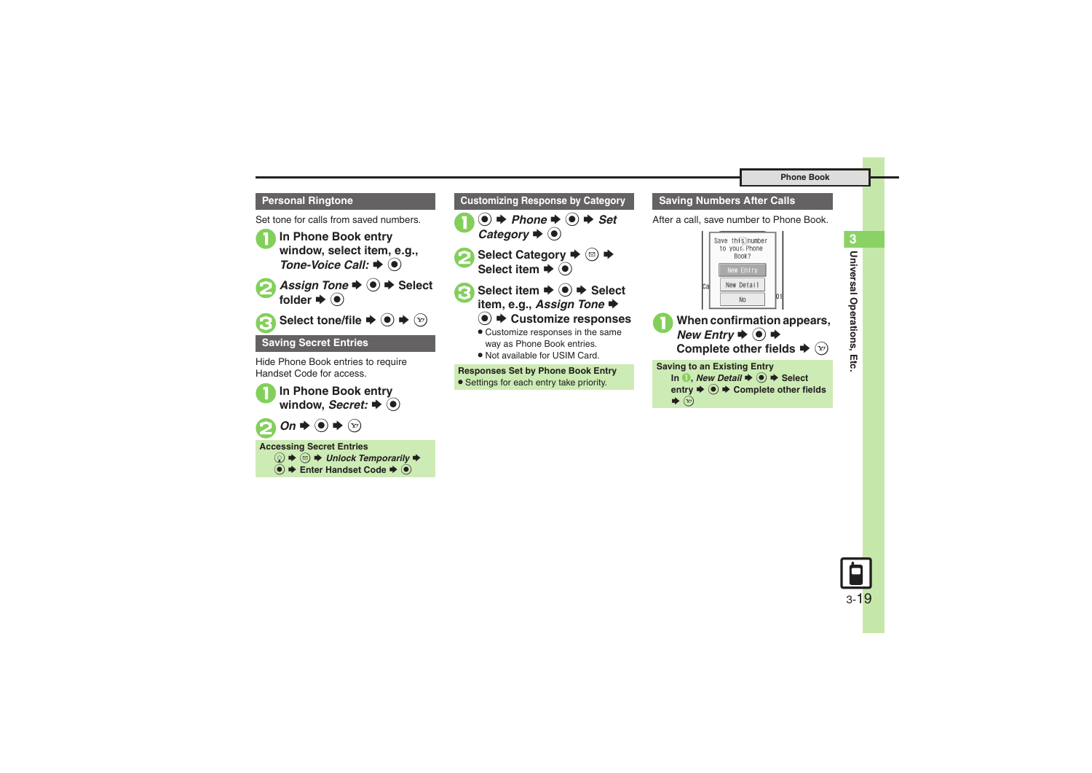### **Personal Ringtone**

Set tone for calls from saved numbers.

<sup>1</sup>**In Phone Book entry window, select item, e.g.,** 



*Tone-Voice Call:*S%



Select tone/file **♦ ● ♦** ۞

### **Saving Secret Entries**

Hide Phone Book entries to require Handset Code for access.



**<sup>●</sup> Enter Handset Code → ●** 



**•** Settings for each entry take priority.

### **Saving Numbers After Calls**

After a call, save number to Phone Book.



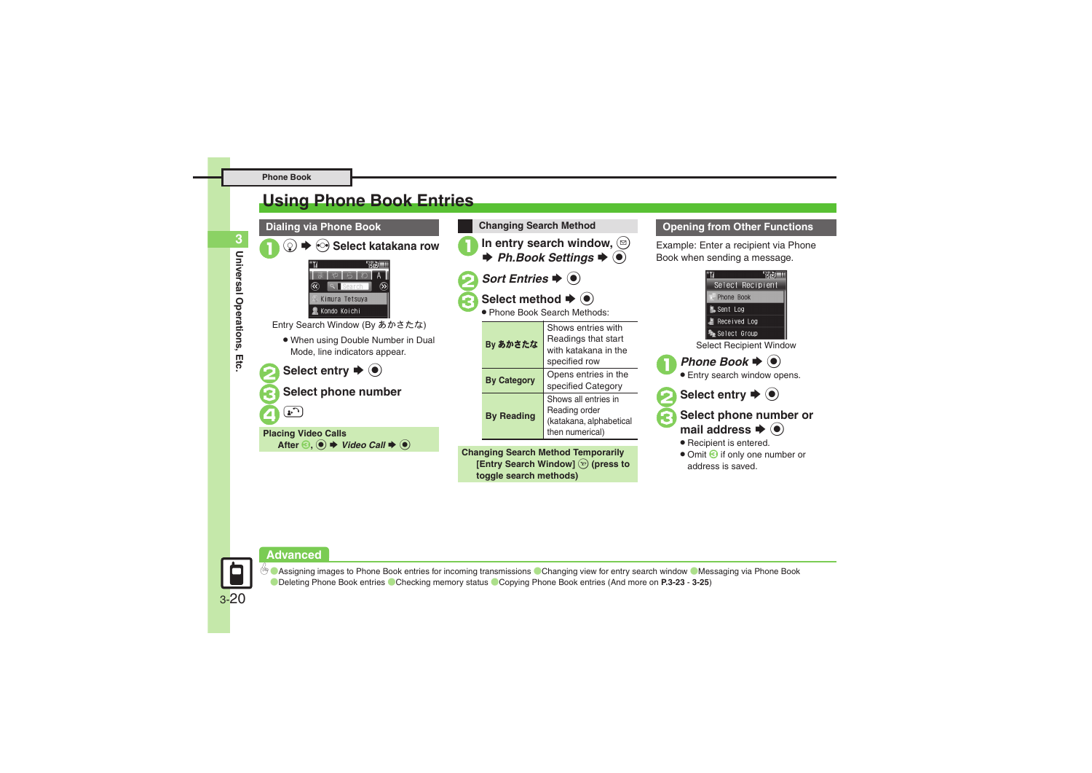# <span id="page-19-0"></span>**Using Phone Book Entries**



In entry search window,  $\circledcirc$  $\Rightarrow$  Ph.Book Settings  $\Rightarrow$   $\circledcirc$ **Changing Search Method**

- *Sort Entries*  $\blacklozenge$  ( $\blacklozenge$ )
- Select method  $\blacktriangleright$   $\odot$
- Phone Book Search Methods:

| By あかさたな           | Shows entries with<br>Readings that start<br>with katakana in the<br>specified row  |
|--------------------|-------------------------------------------------------------------------------------|
| <b>By Category</b> | Opens entries in the<br>specified Category                                          |
| <b>By Reading</b>  | Shows all entries in<br>Reading order<br>(katakana, alphabetical<br>then numerical) |

**Changing Search Method Temporarily [Entry Search Window]**  $\widehat{X}$  (press to **toggle search methods)**

### **Opening from Other Functions**

Example: Enter a recipient via Phone Book when sending a message.



### **Advanced**



**<sup>4</sup> [Assigning images to Phone Book entries for incoming transmissions](#page-22-3) [Changing view for entry search window](#page-22-4) C[Messaging via Phone Book](#page-23-7)** ([Deleting Phone Book entries](#page-24-1) ([Checking memory status](#page-24-2) ([Copying Phone Book entries](#page-24-3) (And more on **[P.3-23](#page-22-4)** - **[3-25](#page-24-4)**)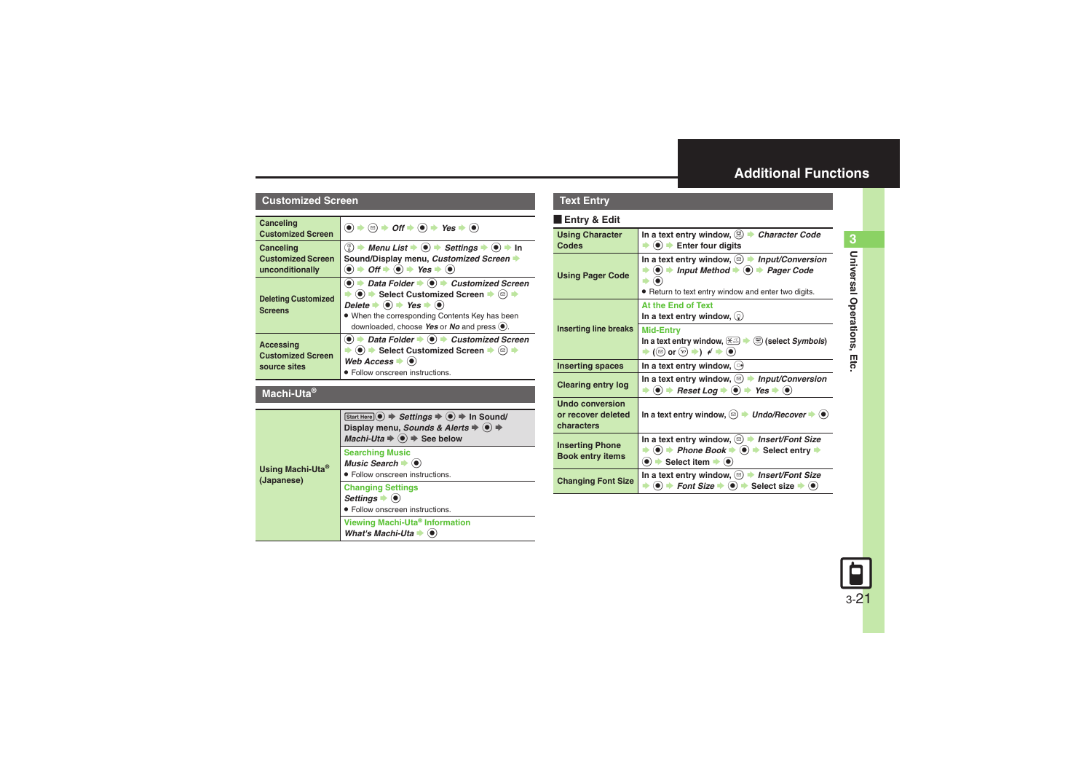# <span id="page-20-0"></span>**Additional Functions**

### **Customized Screen**

<span id="page-20-3"></span><span id="page-20-2"></span><span id="page-20-1"></span>

| Canceling<br><b>Customized Screen</b>                        | $\left( \bullet \right) \bullet \left( \circ \right) \bullet \left( \bullet \right) \bullet \left( \bullet \right) \bullet \left( \bullet \right) \bullet \left( \bullet \right)$                                                                                                                                                                                                                                                                                                              |
|--------------------------------------------------------------|------------------------------------------------------------------------------------------------------------------------------------------------------------------------------------------------------------------------------------------------------------------------------------------------------------------------------------------------------------------------------------------------------------------------------------------------------------------------------------------------|
| Canceling<br><b>Customized Screen</b><br>unconditionally     | $\binom{2}{3}$ → Menu List $\blacktriangleright$ ( $\blacklozenge$ ) $\blacktriangleright$ Settings $\blacktriangleright$ ( $\blacklozenge$ ) $\blacktriangleright$ In<br>Sound/Display menu, Customized Screen →<br>$\bullet$ $\bullet$ <i>Off</i> $\bullet$ $\bullet$ <i>Yes</i> $\bullet$ $\bullet$                                                                                                                                                                                         |
| <b>Deleting Customized</b><br><b>Screens</b>                 | $\textcircled{\textbullet}$ $\textbullet$ Data Folder $\textbullet$ $\textcircled{\textbullet}$ $\textbullet$ Customized Screen<br>$\langle \bullet \rangle$ $\Rightarrow$ Select Customized Screen $\Rightarrow$ $\langle \circ \circ \rangle$<br>Delete $\blacktriangleright$ ( $\blacklozenge$ ) $\blacktriangleright$ Yes $\blacktriangleright$ ( $\blacklozenge$ )<br>. When the corresponding Contents Key has been<br>downloaded, choose Yes or No and press $\left( \bullet \right)$ . |
| <b>Accessing</b><br><b>Customized Screen</b><br>source sites | $\bullet$ $\bullet$ Data Folder $\bullet$ $\bullet$ Customized Screen<br>$\bullet$ $\bullet$ Select Customized Screen $\bullet$ ( $\circ$ ) $\bullet$<br>Web Access $\blacktriangleright$ ( $\blacklozenge$ )<br>• Follow onscreen instructions.                                                                                                                                                                                                                                               |

### <span id="page-20-4"></span>**Machi-Uta®**

<span id="page-20-5"></span>

| Using Machi-Uta <sup>®</sup><br>(Japanese) | Start Here $\odot$ $\Rightarrow$ Settings $\Rightarrow$ $\odot$ $\Rightarrow$ In Sound/<br>Display menu, Sounds & Alerts $\Rightarrow$ $\circledast$ $\Rightarrow$<br>Machi-Uta $\Rightarrow$ $\circledast$ $\Rightarrow$ See below |
|--------------------------------------------|-------------------------------------------------------------------------------------------------------------------------------------------------------------------------------------------------------------------------------------|
|                                            | <b>Searching Music</b><br>Music Search $\blacktriangleright$ ( $\blacklozenge$ )<br>· Follow onscreen instructions.                                                                                                                 |
|                                            | <b>Changing Settings</b><br>Settings $\bullet$ $\bullet$<br>· Follow onscreen instructions.                                                                                                                                         |
|                                            | Viewing Machi-Uta® Information<br>What's Machi-Uta $\blacklozenge$                                                                                                                                                                  |

### **Text Entry**

### [ **Entry & Edit**

<span id="page-20-13"></span><span id="page-20-12"></span><span id="page-20-11"></span><span id="page-20-10"></span><span id="page-20-9"></span><span id="page-20-8"></span><span id="page-20-7"></span><span id="page-20-6"></span>

| <b>Using Character</b><br>Codes                            | In a text entry window, $\circledR$ $\rightarrow$ Character Code<br>$\bullet$ ( $\bullet$ ) $\bullet$ Enter four digits                                                                                                            |
|------------------------------------------------------------|------------------------------------------------------------------------------------------------------------------------------------------------------------------------------------------------------------------------------------|
| <b>Using Pager Code</b>                                    | In a text entry window, $\circledcirc$ $\rightarrow$<br><b>Input/Conversion</b><br>$\bullet$ $\bullet$ Input Method $\bullet$ $\bullet$ $\bullet$ Pager Code<br>. Return to text entry window and enter two digits.                |
|                                                            | At the End of Text<br>In a text entry window, $\mathcal{Q}$                                                                                                                                                                        |
| <b>Inserting line breaks</b>                               | <b>Mid-Entry</b><br>In a text entry window, $\left(\frac{1}{2},\frac{1}{2}\right)$<br>$\mathcal{L}$ (select <i>Symbols</i> )<br>$\blacktriangleright$ ( $\textcircled{e}$ ) or $\textcircled{e}$ ) $\blacklozenge$ $\blacklozenge$ |
| <b>Inserting spaces</b>                                    | In a text entry window, $\circ$                                                                                                                                                                                                    |
| <b>Clearing entry log</b>                                  | In a text entry window, $\circledcirc$ $\blacktriangleright$<br><b>Input/Conversion</b><br>Reset Log $\blacktriangleright$ ( $\blacklozenge$ )<br>$Yes \rightarrow (0)$<br>$\left( \bullet \right) \blacktriangleright$            |
| <b>Undo conversion</b><br>or recover deleted<br>characters | In a text entry window, $\textcircled{a}$ $\rightarrow$ Undo/Recover $\rightarrow$ $\textcircled{a}$                                                                                                                               |
| <b>Inserting Phone</b><br><b>Book entry items</b>          | In a text entry window, $\circledcirc$ > Insert/Font Size<br>$\bullet$ $\bullet$ Phone Book $\bullet$ $\bullet$ Select entry $\bullet$<br>$\bullet$ $\bullet$ Select item $\bullet$ $\bullet$                                      |
| <b>Changing Font Size</b>                                  | In a text entry window, $\circledcirc$ <i>hisert/Font Size</i><br>$\langle \bullet \rangle$ $\Rightarrow$ Font Size $\Rightarrow$ $\langle \bullet \rangle$ $\Rightarrow$ Select size $\Rightarrow$ $\langle \bullet \rangle$      |

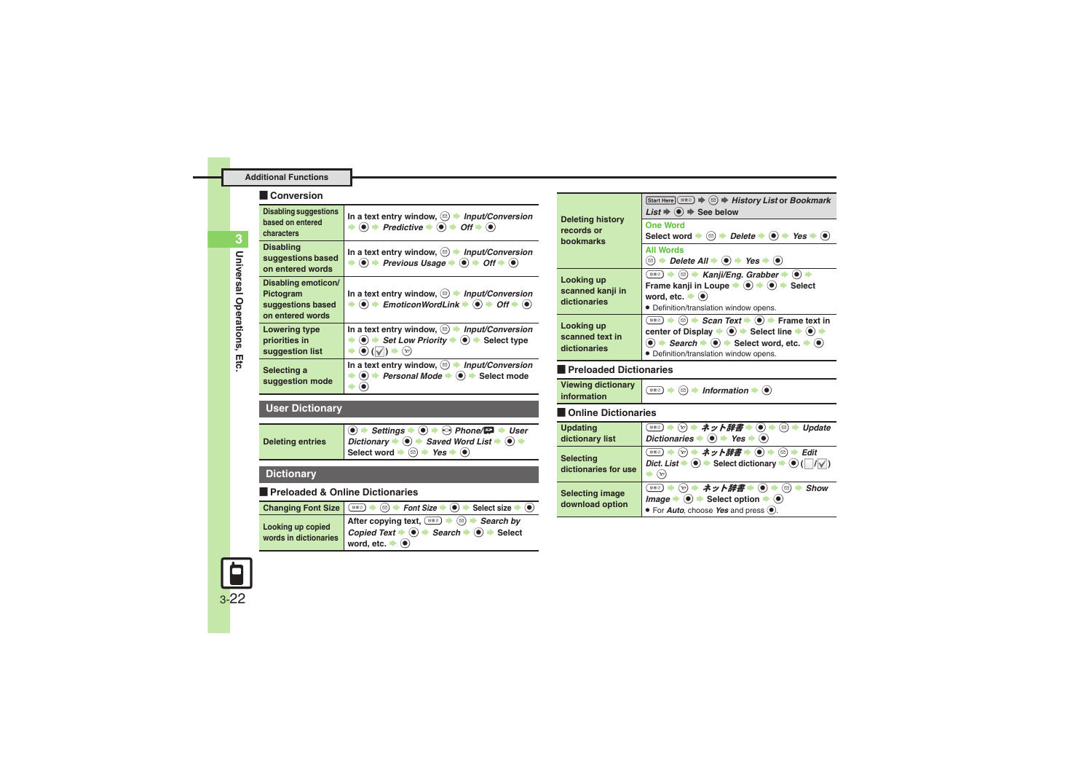### **Additional Functions**

### [ **Conversion**

<span id="page-21-2"></span><span id="page-21-1"></span><span id="page-21-0"></span>

| <b>Disabling suggestions</b><br>based on entered<br>characters            | In a text entry window, $\textcircled{a}$ <i>Input/Conversion</i><br>$\bullet$ + Predictive $\bullet$ $\bullet$ + Off $\bullet$ $\bullet$                                                                                                                                              |
|---------------------------------------------------------------------------|----------------------------------------------------------------------------------------------------------------------------------------------------------------------------------------------------------------------------------------------------------------------------------------|
| <b>Disabling</b><br>suggestions based<br>on entered words                 | In a text entry window, $\textcircled{a}$ <i>Input/Conversion</i><br>$\textcircled{\textcircled{\textcirc}}$ $\Rightarrow$ Previous Usage $\Rightarrow$ $\textcircled{\textcircled{\textcircled{\textcirc}}}$ $\Rightarrow$ Off $\Rightarrow$ $\textcircled{\textcircled{\textcirc}}}$ |
| Disabling emoticon/<br>Pictogram<br>suggestions based<br>on entered words | In a text entry window, $\textcircled{a}$ <i>Input/Conversion</i><br>$\bullet$ $\bullet$ EmoticonWordLink $\bullet$ $\bullet$ $\bullet$ Off $\bullet$ $\bullet$                                                                                                                        |
| <b>Lowering type</b><br>priorities in<br>suggestion list                  | In a text entry window, $\circledcirc$ <i>hput/Conversion</i><br>Set Low Priority $\Rightarrow$ $\circledast$ Select type                                                                                                                                                              |
| Selecting a<br>suggestion mode                                            | In a text entry window, $\textcircled{a}$ <i>Input/Conversion</i><br>Personal Mode →<br>$\circledbullet$<br>Select mode                                                                                                                                                                |

# <span id="page-21-4"></span><span id="page-21-3"></span>**User Dictionary**

<span id="page-21-5"></span>

| <b>Deleting entries</b> | $\bigcirc$ $\rightarrow$ Settings $\rightarrow$ $\bigcirc$ $\rightarrow$ $\bigcirc$ Phone/ $\bigcirc$ $\rightarrow$ User<br>Dictionary $\Rightarrow$ 6 $\Rightarrow$ Saved Word List $\Rightarrow$ 6 $\Rightarrow$ |
|-------------------------|--------------------------------------------------------------------------------------------------------------------------------------------------------------------------------------------------------------------|
|                         | Select word $\Rightarrow$ $\textcircled{e}$ $\Rightarrow$ Yes $\Rightarrow$ $\textcircled{e}$                                                                                                                      |

## **Dictionary**

### [ **Preloaded & Online Dictionaries**

<span id="page-21-7"></span><span id="page-21-6"></span>

|                       | Changing Font Size $\circledast$ $\circledast$ $\circledast$ $\bullet$ Font Size $\bullet$ $\circledast$ Select size $\bullet$ $\circledast$                                                           |
|-----------------------|--------------------------------------------------------------------------------------------------------------------------------------------------------------------------------------------------------|
| Looking up copied     | After copying text, $\overline{(*)}$ $\rightarrow \text{ } \odot \rightarrow$ Search by<br>Copied Text $\rightarrow \text{ } \odot \rightarrow$ Search $\rightarrow \text{ } \odot \rightarrow$ Select |
| words in dictionaries | word, etc. $\bullet$ $\circ$                                                                                                                                                                           |

<span id="page-21-11"></span><span id="page-21-10"></span><span id="page-21-9"></span><span id="page-21-8"></span>

| <b>Deleting history</b><br>records or<br><b>bookmarks</b> | Start Here $(*)$ $\Rightarrow$ $(*)$ $\Rightarrow$ History List or Bookmark<br>List $\Rightarrow$ ( $\bullet$ ) $\Rightarrow$ See below                                                                                                                                                                                                                                                                          |
|-----------------------------------------------------------|------------------------------------------------------------------------------------------------------------------------------------------------------------------------------------------------------------------------------------------------------------------------------------------------------------------------------------------------------------------------------------------------------------------|
|                                                           | <b>One Word</b><br>Select word $\Rightarrow$ ( $\text{D}$ ) $\Rightarrow$ Delete $\Rightarrow$ ( $\bullet$ ) $\Rightarrow$ Yes $\Rightarrow$ ( $\bullet$ )                                                                                                                                                                                                                                                       |
|                                                           | <b>All Words</b>                                                                                                                                                                                                                                                                                                                                                                                                 |
| Looking up<br>scanned kanji in<br>dictionaries            | $\lim_{n\to\infty}$ $\Rightarrow$ $\text{Conj}/\text{Eng.}$ Grabber $\Rightarrow$ $\textcircled{\ }$ $\Rightarrow$<br>Frame kanji in Loupe $\blacktriangleright$ ( $\blacklozenge$ ) $\blacktriangleright$ $\blacklozenge$ ) $\blacktriangleright$ Select<br>word, etc. $\blacktriangleright$ ( $\blacklozenge$ )<br>· Definition/translation window opens.                                                      |
| Looking up<br>scanned text in<br>dictionaries             | <sup>388</sup> → <b> a</b> → <b>C</b> → <b>Scan Text</b> → <b>()</b> → Frame text in<br>center of Display $\Rightarrow$ $\textcircled{\textbf{}} \Rightarrow$ Select line $\Rightarrow$ $\textcircled{\textbf{}} \Rightarrow$<br>$\bullet$ $\Rightarrow$ Search $\Rightarrow$ $\bullet$ Select word, etc. $\Rightarrow$ $\bullet$ )<br>· Definition/translation window opens.                                    |
| Preloaded Dictionaries                                    |                                                                                                                                                                                                                                                                                                                                                                                                                  |
| <b>Viewing dictionary</b><br>information                  | $\left( \mathbb{R}^n \right)$ $\Rightarrow$ $\left( \mathbb{R} \right)$ $\Rightarrow$ Information $\Rightarrow$ $\left( \bullet \right)$                                                                                                                                                                                                                                                                         |
| Online Dictionaries                                       |                                                                                                                                                                                                                                                                                                                                                                                                                  |
| <b>Updating</b><br>dictionary list                        | ※※◎ ⇒ ☆ ⇒ ネット辞書 ⇒ ◉ ⇒ ◎ ⇒ Update<br>Dictionaries $\bullet$ ( $\bullet$ ) $\bullet$ Yes $\bullet$ ( $\bullet$ )                                                                                                                                                                                                                                                                                                   |
| <b>Selecting</b><br>dictionaries for use                  | Dict. List $\blacktriangleright$ ( $\blacktriangleright$ ) $\blacktriangleright$ Select dictionary $\blacktriangleright$ ( $\blacktriangleright$ ) ( $\mid$ $\mid$ / $\lor$ $\mid$ )<br>$\Rightarrow$ $\left(\text{x}\right)$                                                                                                                                                                                    |
| <b>Selecting image</b><br>download option                 | $\mathbb{R}^{n \times 2}$ $\Rightarrow$ $\mathbb{R}^{n}$ $\Rightarrow$ $\mathbb{R}^{n}$ $\Rightarrow$ $\mathbb{R}^{n}$ $\Rightarrow$ $\mathbb{R}^{n}$ $\Rightarrow$ $\mathbb{R}^{n}$ $\Rightarrow$ $\mathbb{R}^{n}$ $\Rightarrow$ $\mathbb{S}$ how<br>$Image \rightarrow \textcircled{\bullet}$ $\rightarrow$ Select option $\rightarrow \textcircled{\bullet}$<br>• For <b>Auto</b> , choose Yes and press (.). |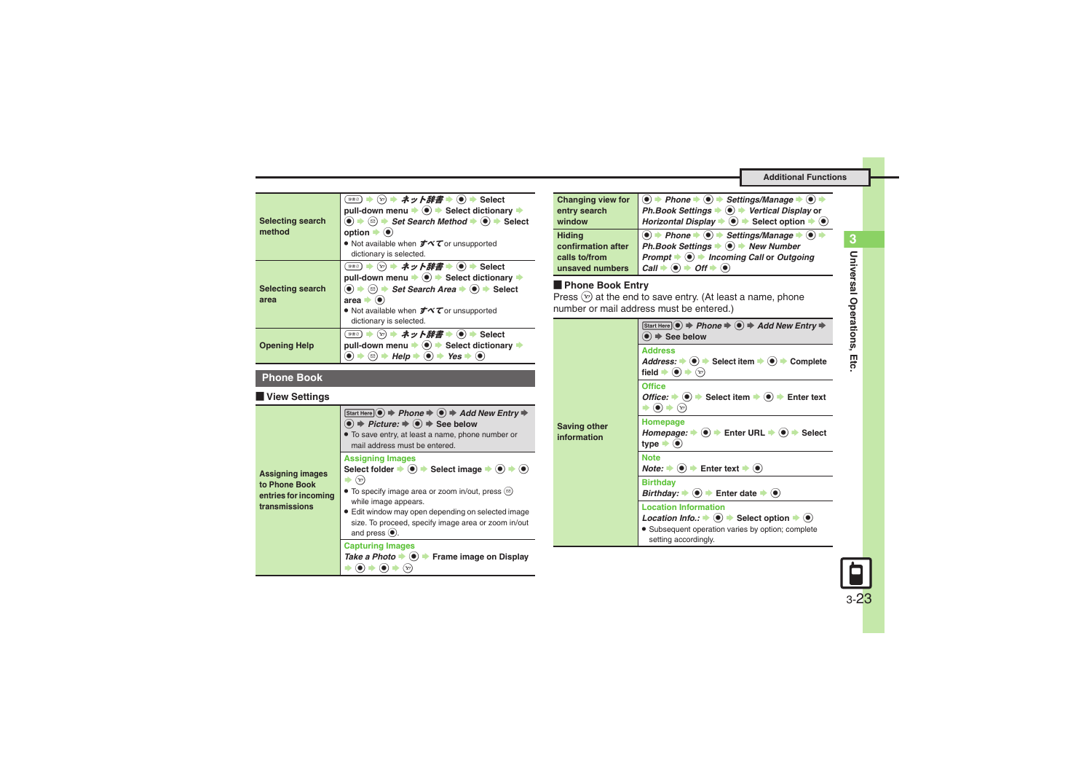<span id="page-22-0"></span>

| <b>Selecting search</b><br>method | (▽) ⇒ ネット辞書 ⇒ (●) ⇒ Select<br>#書Ø )<br>pull-down menu $\rightarrow$ $\bullet$ $\rightarrow$ Select dictionary $\rightarrow$<br>$\textcircled{\bullet}$ $\Rightarrow$ $\textcircled{\bullet}$ $\Rightarrow$ Set Search Method $\Rightarrow$ $\textcircled{\bullet}$ $\Rightarrow$ Select<br>option $\blacktriangleright$ ( $\blacklozenge$ )<br>● Not available when <b>すべて</b> or unsupported<br>dictionary is selected. |
|-----------------------------------|--------------------------------------------------------------------------------------------------------------------------------------------------------------------------------------------------------------------------------------------------------------------------------------------------------------------------------------------------------------------------------------------------------------------------|
| <b>Selecting search</b><br>area   | (ッ) ⇒ ネット辞書 ⇒ (●) ⇒ Select<br># ⊞ 2 )<br>pull-down menu → () → Select dictionary →<br>$\bullet$ $\bullet$ $\circ$ $\bullet$ Set Search Area $\bullet$ $\bullet$ $\bullet$ Select<br>area $\Rightarrow$<br>• Not available when $\vec{\sigma} \vec{\sim} \vec{\tau}$ or unsupported<br>dictionary is selected.                                                                                                            |
| <b>Opening Help</b>               | (▽) ⇒ ネット辞書 ⇒ (●) ⇒ Select<br>pull-down menu $\Rightarrow$ $\circledast$ $\Rightarrow$ Select dictionary $\Rightarrow$<br>$\bullet$ $\bullet$ Yes $\bullet$<br>Help<br>ø                                                                                                                                                                                                                                                 |

### <span id="page-22-1"></span>**Phone Book**

### [ **View Settings**

<span id="page-22-3"></span>

| <b>Assigning images</b><br>to Phone Book<br>entries for incoming<br>transmissions | Start Here $\textcircled{\textcircled{\bullet}} \Rightarrow$ Phone $\Rightarrow$ $\textcircled{\textcircled{\bullet}} \Rightarrow$ Add New Entry $\Rightarrow$<br>$\textcircled{\textcolor{blue}{\bullet}}$ $\Rightarrow$ Picture: $\Rightarrow$ $\textcircled{\textcolor{blue}{\bullet}}$ $\Rightarrow$ See below<br>• To save entry, at least a name, phone number or<br>mail address must be entered. |
|-----------------------------------------------------------------------------------|----------------------------------------------------------------------------------------------------------------------------------------------------------------------------------------------------------------------------------------------------------------------------------------------------------------------------------------------------------------------------------------------------------|
|                                                                                   | <b>Assigning Images</b><br>Select folder $\Rightarrow$ ( $\bullet$ ) $\Rightarrow$ Select image $\Rightarrow$ ( $\bullet$ ) $\Rightarrow$ ( $\bullet$ )<br>Y?<br>• To specify image area or zoom in/out, press $(\text{m})$<br>while image appears.<br>• Edit window may open depending on selected image<br>size. To proceed, specify image area or zoom in/out<br>and press $($ <sup>o</sup> ).        |
|                                                                                   | <b>Capturing Images</b><br>Take a Photo $\blacktriangleright$ ( $\blacklozenge$ ) $\blacktriangleright$ Frame image on Display<br>`Y!                                                                                                                                                                                                                                                                    |

<span id="page-22-4"></span>

| <b>Changing view for</b> | $\bigcirc$ $\rightarrow$ Phone $\rightarrow$ $\bigcirc$ $\rightarrow$ Settings/Manage $\rightarrow$ $\bigcirc$ $\rightarrow$ |
|--------------------------|------------------------------------------------------------------------------------------------------------------------------|
| entry search             | Ph.Book Settings $\bigodot$ → Vertical Display or                                                                            |
| window                   | Horizontal Display $\blacktriangleright$ ( $\blacklozenge$ $\blacktriangleright$ Select option $\blacktriangleright$ ⓒ       |
| <b>Hiding</b>            | $\bullet$ + Phone $\bullet$ $\bullet$ + Settings/Manage $\bullet$ $\bullet$                                                  |
| confirmation after       | Ph.Book Settings ♦ <sup>●</sup> New Number                                                                                   |
| calls to/from            | Prompt $\Rightarrow$ $\circledast$ Incoming Call or Outgoing                                                                 |
|                          | unsaved numbers $\mathcal{C}all \rightarrow \textcircled{\bullet} \rightarrow \textcircled{\circ} \textcircled{\bullet}$     |

**Phone Book Entry**<br>Press  $\circledcirc$  at the end to save entry. (At least a name, phone number or mail address must be entered.)

<span id="page-22-2"></span>

| <b>Saving other</b><br>information | Start Here $\odot$ $\Rightarrow$ Phone $\Rightarrow$ $\odot$ $\Rightarrow$ Add New Entry $\Rightarrow$<br>$\bullet$ $\Rightarrow$ See below                                                                                                                                   |
|------------------------------------|-------------------------------------------------------------------------------------------------------------------------------------------------------------------------------------------------------------------------------------------------------------------------------|
|                                    | <b>Address</b><br>Address: $\blacktriangleright$ ( $\blacklozenge$ ) $\blacktriangleright$ Select item $\blacktriangleright$ ( $\blacklozenge$ ) $\blacktriangleright$ Complete<br>field $\blacktriangleright$ ( $\blacklozenge$ ) $\blacktriangleright$ ( $\triangleright$ ) |
|                                    | <b>Office</b><br><i>Office:</i> $\rightarrow$ ( $\bullet$ ) $\rightarrow$ Select item $\rightarrow$ ( $\bullet$ ) $\rightarrow$ Enter text<br>$\Rightarrow$ $(\mathbf{x})$                                                                                                    |
|                                    | Homepage<br>Homepage: $\Rightarrow$ ( $\bullet$ ) $\Rightarrow$ Enter URL $\Rightarrow$ ( $\bullet$ ) $\Rightarrow$ Select<br>type $\bullet$ ( $\bullet$ )                                                                                                                    |
|                                    | <b>Note</b><br>$Note: \rightarrow (0) \rightarrow$ Enter text $\rightarrow (0)$                                                                                                                                                                                               |
|                                    | <b>Birthday</b><br>Birthday: $\Rightarrow$ ( $\bullet$ ) $\Rightarrow$ Enter date $\Rightarrow$ ( $\bullet$ )                                                                                                                                                                 |
|                                    | <b>Location Information</b>                                                                                                                                                                                                                                                   |
|                                    | <i>Location Info.:</i> $\Rightarrow$ ( $\bullet$ ) $\Rightarrow$ Select option $\Rightarrow$ ( $\bullet$ )                                                                                                                                                                    |
|                                    | · Subsequent operation varies by option; complete<br>setting accordingly.                                                                                                                                                                                                     |



**Universal Operations, Etc.**

**3**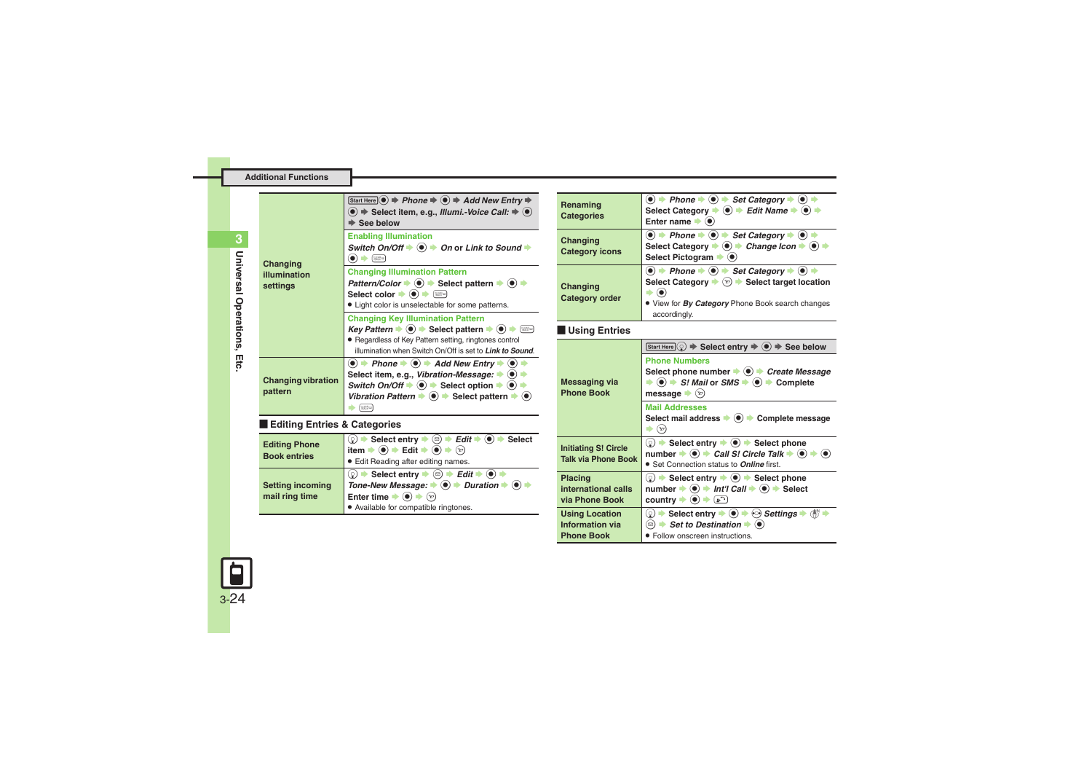| Changing<br>illumination<br>settings        | Start Here $\circledcirc$ $\Rightarrow$ Phone $\Rightarrow$ $\circledcirc$ $\Rightarrow$ Add New Entry $\Rightarrow$<br>$\bullet$ $\bullet$ Select item, e.g., Illumi.-Voice Call: $\bullet$ $\bullet$<br>$\Rightarrow$ See below                                                                                                                                                                                                                                                                |
|---------------------------------------------|--------------------------------------------------------------------------------------------------------------------------------------------------------------------------------------------------------------------------------------------------------------------------------------------------------------------------------------------------------------------------------------------------------------------------------------------------------------------------------------------------|
|                                             | <b>Enabling Illumination</b><br>Switch On/Off $\blacktriangleright$ ( $\blacklozenge$ ) $\blacktriangleright$ On or Link to Sound $\blacktriangleright$<br>$\bullet)$ $\bullet$ (122 m)                                                                                                                                                                                                                                                                                                          |
|                                             | <b>Changing Illumination Pattern</b><br>Pattern/Color $\blacktriangleright$ (a) $\blacktriangleright$ Select pattern $\blacktriangleright$ (a) $\blacktriangleright$<br>Select color $\blacktriangleright$ $\bullet$ $\blacktriangleright$ $\circledast$<br>• Light color is unselectable for some patterns.                                                                                                                                                                                     |
|                                             | <b>Changing Key Illumination Pattern</b><br>Key Pattern $\Rightarrow$ (0) $\Rightarrow$ Select pattern $\Rightarrow$ (0) $\Rightarrow$ (1189)<br>• Regardless of Key Pattern setting, ringtones control<br>illumination when Switch On/Off is set to Link to Sound.                                                                                                                                                                                                                              |
| <b>Changing vibration</b><br>pattern        | $\langle \bullet \rangle$ $\Rightarrow$ Phone $\Rightarrow$ $\langle \bullet \rangle$ $\Rightarrow$ Add New Entry $\Rightarrow$ $\langle \bullet \rangle$<br>Select item, e.g., Vibration-Message: $\bullet$ (.)<br>Switch On/Off $\Rightarrow$ ( $\bullet$ ) $\Rightarrow$ Select option $\Rightarrow$ ( $\bullet$ ) $\Rightarrow$<br>Vibration Pattern $\blacktriangleright$ ( $\blacklozenge$ ) $\blacktriangleright$ Select pattern $\blacktriangleright$ ( $\blacklozenge$ )<br><b>SASE</b> |
| Editing Entries & Categories                |                                                                                                                                                                                                                                                                                                                                                                                                                                                                                                  |
| <b>Editing Phone</b><br><b>Book entries</b> | $\textcircled{ } \Rightarrow$ Select entry $\Rightarrow$ $\textcircled{ } \Rightarrow$ Edit $\Rightarrow$ $\textcircled{ } \Rightarrow$ Select<br>item $\Rightarrow$ ( $\bullet$ ) $\Rightarrow$ Edit $\Rightarrow$ ( $\bullet$ ) $\Rightarrow$ ( $\circ$ )<br><b>•</b> Edit Reading after editing names.                                                                                                                                                                                        |
| <b>Setting incoming</b><br>mail ring time   | $\textcircled{\scriptsize{0}}$ $\Rightarrow$ Select entry $\Rightarrow$ $\textcircled{\scriptsize{1}}$ $\Rightarrow$ Edit $\Rightarrow$ $\textcircled{\scriptsize{0}}$<br>Tone-New Message: $\blacklozenge$ $\blacklozenge$ $\blacktriangleright$ Duration $\blacktriangleright$ $\blacklozenge$ $\blacktriangleright$<br>Enter time $\blacktriangleright$ ( $\blacklozenge$ ) $\blacktriangleright$ $\langle x \rangle$                                                                         |

<span id="page-23-2"></span>. Available for compatible ringtones.

<span id="page-23-7"></span><span id="page-23-6"></span><span id="page-23-5"></span><span id="page-23-4"></span>

| Renaming<br><b>Categories</b>                                 | $\bullet$ $\Rightarrow$ Phone $\Rightarrow$ $\bullet$ $\Rightarrow$ Set Category $\Rightarrow$ $\bullet$ $\Rightarrow$<br>Select Category $\Rightarrow$ ( $\bullet$ ) $\Rightarrow$ Edit Name $\Rightarrow$ ( $\bullet$ ) $\Rightarrow$<br>Enter name $\blacktriangleright$ ( $\bullet$ )                                                                                                                                                                               |
|---------------------------------------------------------------|-------------------------------------------------------------------------------------------------------------------------------------------------------------------------------------------------------------------------------------------------------------------------------------------------------------------------------------------------------------------------------------------------------------------------------------------------------------------------|
| Changing<br><b>Category icons</b>                             | $\bullet$ $\bullet$ Phone $\bullet$ $\bullet$ $\bullet$ Set Category $\bullet$ $\bullet$ $\bullet$<br>Select Category $\rightarrow$ ⓒ $\rightarrow$ Change Icon $\rightarrow$ ⓒ $\rightarrow$<br>Select Pictogram $\blacktriangleright$ ( $\blacklozenge$ )                                                                                                                                                                                                             |
| Changing<br><b>Category order</b>                             | $\bullet$ $\bullet$ Phone $\bullet$ $\bullet$ $\bullet$ Set Category $\bullet$ $\bullet$ $\bullet$<br>Select Category $\blacktriangleright$ ( $\widehat{x}$ ) $\blacktriangleright$ Select target location<br>$\rightarrow$ (e)<br>. View for By Category Phone Book search changes<br>accordingly.                                                                                                                                                                     |
| <b>Using Entries</b>                                          |                                                                                                                                                                                                                                                                                                                                                                                                                                                                         |
| <b>Messaging via</b><br><b>Phone Book</b>                     | Start Here $(\mathcal{Q}) \Rightarrow$ Select entry $\Rightarrow$ ( $\bullet$ ) $\Rightarrow$ See below<br><b>Phone Numbers</b><br>Select phone number $\bullet$ $\bullet$ $\bullet$ Create Message<br>$\Rightarrow$ ( $\bullet$ ) $\Rightarrow$ S! Mail or SMS $\Rightarrow$ ( $\bullet$ ) $\Rightarrow$ Complete<br>message $\blacktriangleright$ $\langle x \rangle$<br><b>Mail Addresses</b><br>Select mail address → (•) → Complete message<br>$\Rightarrow$ $(x)$ |
| <b>Initiating S! Circle</b><br><b>Talk via Phone Book</b>     | $\textcircled{\scriptsize{0}}$ $\Rightarrow$ Select entry $\Rightarrow$ ( $\bullet$ ) $\Rightarrow$ Select phone<br>number $\Rightarrow$ ( $\bullet$ ) $\Rightarrow$ Call S! Circle Talk $\Rightarrow$ ( $\bullet$ ) $\Rightarrow$ ( $\bullet$ )<br>• Set Connection status to Online first.                                                                                                                                                                            |
| <b>Placing</b><br>international calls<br>via Phone Book       | $\textcircled{\scriptsize{?}}$ $\blacktriangleright$ Select entry $\blacktriangleright$ ( $\textcircled{\scriptsize{}}$ ) $\blacktriangleright$ Select phone<br>number $\Rightarrow$ ( $\bullet$ ) $\Rightarrow$ Int'l Call $\Rightarrow$ ( $\bullet$ ) $\Rightarrow$ Select<br>country $\Rightarrow$ $\bullet$ $\Rightarrow$ $\bullet$                                                                                                                                 |
| <b>Using Location</b><br>Information via<br><b>Phone Book</b> | © $\rightarrow$ Select entry $\rightarrow$ ⓒ $\rightarrow$ $\odot$ <i>Settings</i> $\rightarrow$ ( $\overline{0}$ ) $\rightarrow$<br>(☉) $\rightarrow$ Set to Destination $\rightarrow$ (●)<br>• Follow onscreen instructions.                                                                                                                                                                                                                                          |

<span id="page-23-3"></span>

<span id="page-23-1"></span><span id="page-23-0"></span>**Universal Operations, Etc.**

Universal Operations, Etc.

**3**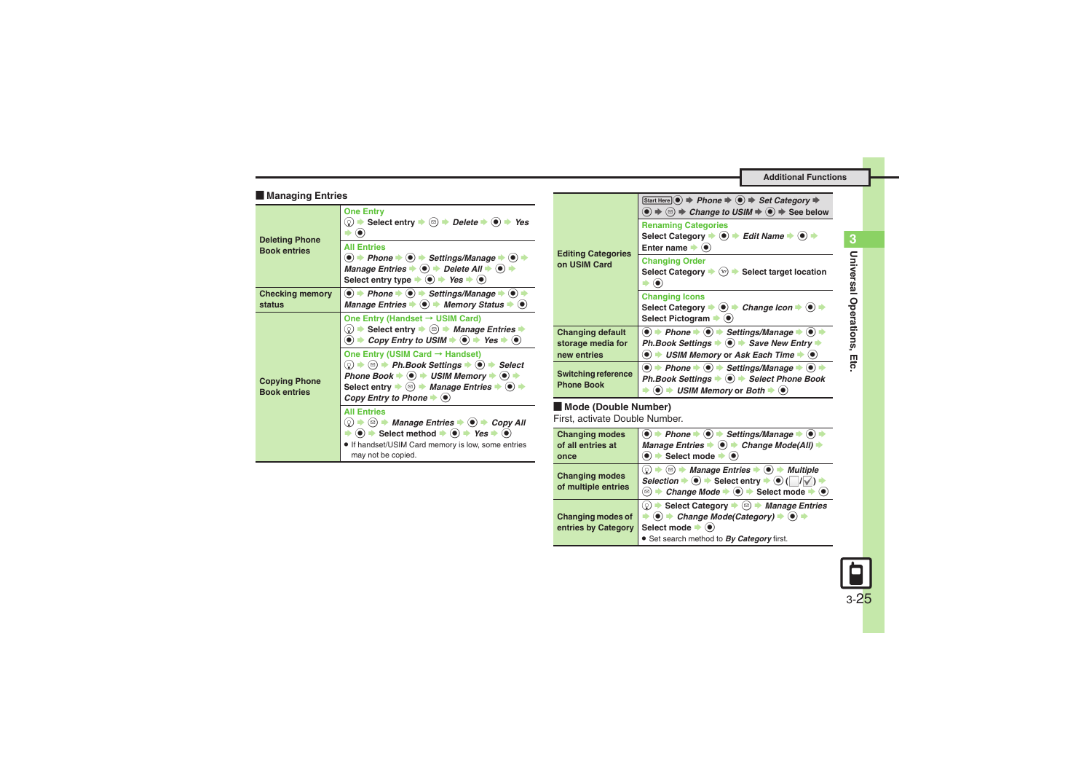**Additional Functions**

### [ **Managing Entries**

<span id="page-24-3"></span><span id="page-24-2"></span><span id="page-24-1"></span>

| <b>Deleting Phone</b><br><b>Book entries</b> | <b>One Entry</b><br>© $\Rightarrow$ Select entry $\Rightarrow$ ( $\textcircled{a}$ ) $\Rightarrow$ Delete $\Rightarrow$ ( $\textcircled{a}$ ) $\Rightarrow$ Yes<br>$\left( \bullet \right)$                                                                                                                                                                                                                                                                                                                                                                                                                                                                                                                                                                                                                         |
|----------------------------------------------|---------------------------------------------------------------------------------------------------------------------------------------------------------------------------------------------------------------------------------------------------------------------------------------------------------------------------------------------------------------------------------------------------------------------------------------------------------------------------------------------------------------------------------------------------------------------------------------------------------------------------------------------------------------------------------------------------------------------------------------------------------------------------------------------------------------------|
|                                              | <b>All Entries</b><br>$\langle \bullet \rangle$ $\Rightarrow$ Phone $\Rightarrow$ $\langle \bullet \rangle$ $\Rightarrow$ Settings/Manage $\Rightarrow$ $\langle \bullet \rangle$ $\Rightarrow$<br>Manage Entries $\bullet$ $\bullet$ $\bullet$ Delete All $\bullet$ $\bullet$<br>Select entry type $\Rightarrow$ (a) $\Rightarrow$ Yes $\Rightarrow$ (a)                                                                                                                                                                                                                                                                                                                                                                                                                                                           |
| <b>Checking memory</b><br>status             | $\langle \bullet \rangle$ $\Rightarrow$ Phone $\Rightarrow$ $\langle \bullet \rangle$ $\Rightarrow$ Settings/Manage $\Rightarrow$ $\langle \bullet \rangle$<br>Manage Entries $\blacktriangleright$ ( $\blacklozenge$ ) $\blacktriangleright$ Memory Status $\blacktriangleright$ ( $\blacklozenge$ )                                                                                                                                                                                                                                                                                                                                                                                                                                                                                                               |
| <b>Copying Phone</b><br><b>Book entries</b>  | One Entry (Handset $\rightarrow$ USIM Card)<br>© $\Rightarrow$ Select entry $\Rightarrow$ ( $\textcircled{a}$ ) $\Rightarrow$ Manage Entries $\Rightarrow$<br>$\bullet$ $\bullet$ Copy Entry to USIM $\bullet$ $\bullet$ Yes $\bullet$ $\bullet$                                                                                                                                                                                                                                                                                                                                                                                                                                                                                                                                                                    |
|                                              | One Entry (USIM Card $\rightarrow$ Handset)<br>$\textcircled{\scriptsize\odot}$ $\blacktriangleright$ $\textcircled{\scriptsize\cdots}$ Ph.Book Settings $\blacktriangleright$ $\textcircled{\scriptsize\bullet}$ $\blacktriangleright$ Select<br>Phone Book $\Rightarrow$ ( $\bullet$ ) $\Rightarrow$ USIM Memory $\Rightarrow$ ( $\bullet$ )<br>Select entry $\Rightarrow$ ( $\textcircled{a}$ ) $\Rightarrow$ Manage Entries $\Rightarrow$ ( $\textcircled{b}$ )<br>Copy Entry to Phone $\blacktriangleright$ ( $\blacklozenge$ )                                                                                                                                                                                                                                                                                |
|                                              | <b>All Entries</b><br>$\textcircled{\scriptsize{0}}$ $\blacktriangleright$ $\textcircled{\scriptsize{s}}$ $\blacktriangleright$ $\textcircled{\scriptsize{s}}$ $\blacktriangleright$ $\textcircled{\scriptsize{s}}$ $\blacktriangleright$ $\textcircled{\scriptsize{s}}$ $\blacktriangleright$ $\textcircled{\scriptsize{s}}$ $\blacktriangleright$ $\textcircled{\scriptsize{s}}$ $\textcircled{\scriptsize{s}}$ $\blacktriangleright$ $\textcircled{\scriptsize{s}}$ $\textcircled{\scriptsize{s}}$ $\blacktriangleleft$ $\textcircled{\scriptsize{s}}$ $\blacktriangleleft$ $\textcircled{\scriptsize{s}}$ $\blacktriangleleft$<br>$\bullet$ $\bullet$ $\bullet$ Select method $\bullet$ $\bullet$ $\bullet$ Yes $\bullet$ $\bullet$<br>. If handset/USIM Card memory is low, some entries<br>may not be copied. |

| <b>Editing Categories</b><br>on USIM Card                   | Start Here $\circledcirc$ $\Rightarrow$ Phone $\Rightarrow$ $\circledcirc$ $\Rightarrow$ Set Category $\Rightarrow$<br>$\textcircled{\textcircled{\scriptsize{*}}} \Rightarrow \textcircled{\textcircled{\scriptsize{*}}}$ Change to USIM $\Rightarrow$ $\textcircled{\scriptsize{*}}$ See below |
|-------------------------------------------------------------|--------------------------------------------------------------------------------------------------------------------------------------------------------------------------------------------------------------------------------------------------------------------------------------------------|
|                                                             | <b>Renaming Categories</b><br>Select Category $\Rightarrow$ ( $\bullet$ ) $\Rightarrow$ Edit Name $\Rightarrow$ ( $\bullet$ ) $\Rightarrow$<br>Enter name $\blacktriangleright$ ( $\blacklozenge$ )                                                                                              |
|                                                             | <b>Changing Order</b><br>Select Category $\blacktriangleright$ ( $\triangleright$ ) $\blacktriangleright$ Select target location                                                                                                                                                                 |
|                                                             | <b>Changing Icons</b><br>Select Category → ● → Change Icon → ●<br>Select Pictogram $\blacktriangleright$ ( $\blacklozenge$ )                                                                                                                                                                     |
| <b>Changing default</b><br>storage media for<br>new entries | $\bullet$ $\bullet$ Phone $\bullet$ $\bullet$ Settings/Manage $\bullet$ $\bullet$<br>Ph.Book Settings $\Rightarrow$ $\circledast$ $\Rightarrow$ Save New Entry $\Rightarrow$<br>USIM Memory or Ask Each Time $\blacktriangleright$ ( $\blacklozenge$ )<br>$\bullet$ $\bullet$                    |
| Switching reference<br><b>Phone Book</b>                    | $\langle \bullet \rangle$ $\Rightarrow$ Phone $\Rightarrow$ $\langle \bullet \rangle$ $\Rightarrow$ Settings/Manage $\Rightarrow$ $\langle \bullet \rangle$ i<br>Ph.Book Settings ♦ (•) + Select Phone Book<br>$\bullet$ $\bullet$ USIM Memory or Both $\bullet$ $\bullet$                       |

### <span id="page-24-4"></span>[ **Mode (Double Number)**

First, activate Double Number.

<span id="page-24-0"></span>

| <b>Changing modes</b><br>of all entries at<br>once | $\textcircled{\bullet}$ $\textup{+}$ Phone $\textup{\bullet}$ $\textcircled{\bullet}$ $\textup{\bullet}$ Settings/Manage $\textup{\bullet}$ $\textcircled{\bullet}$<br>Manage Entries $\blacklozenge$ $\odot$ $\blacktriangleright$ Change Mode(All) $\blacktriangleright$<br>$\rightarrow$ Select mode $\rightarrow$ $\odot$ |
|----------------------------------------------------|-------------------------------------------------------------------------------------------------------------------------------------------------------------------------------------------------------------------------------------------------------------------------------------------------------------------------------|
| <b>Changing modes</b><br>of multiple entries       | (☉) → Manage Entries → (●) → Multiple<br>(ဝူ)<br>Selection $\Rightarrow$ $\circledcirc$ $\Rightarrow$ Select entry $\Rightarrow$ $\circledcirc$ ( $\Box$ / $\Box$ )<br>• Change Mode $\Rightarrow$ ( $\bullet$ ) $\Rightarrow$ Select mode $\Rightarrow$ ( $\bullet$ )<br>$\Xi$                                               |
| <b>Changing modes of</b><br>entries by Category    | Select Category $\Rightarrow$ ( $\textcircled{a}$ ) $\Rightarrow$ Manage Entries<br>.ହ)<br>$\bullet$ $\bullet$ Change Mode(Category) $\bullet$ $\bullet$<br>Select mode $\blacktriangleright$ ( $\blacklozenge$ )<br>Set search method to By Category first.                                                                  |